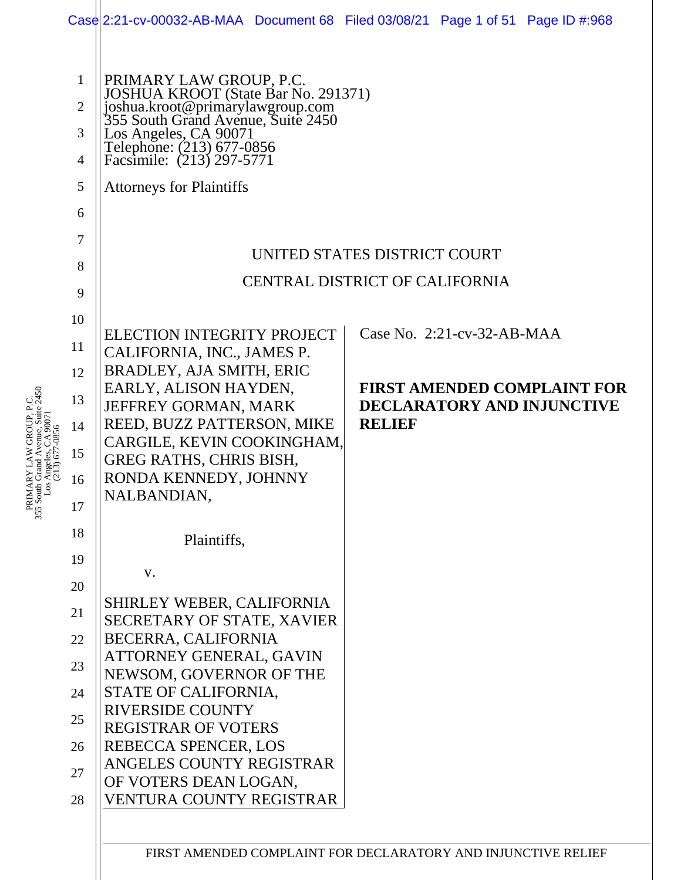|                                                                                                                                                |                                                                                                                |                                                                                                                                                                                                                                                                                                                                                                                                                                                                                                                                                                                                                                                         | Case 2:21-cv-00032-AB-MAA Document 68 Filed 03/08/21 Page 1 of 51 Page ID #:968                                 |  |  |  |
|------------------------------------------------------------------------------------------------------------------------------------------------|----------------------------------------------------------------------------------------------------------------|---------------------------------------------------------------------------------------------------------------------------------------------------------------------------------------------------------------------------------------------------------------------------------------------------------------------------------------------------------------------------------------------------------------------------------------------------------------------------------------------------------------------------------------------------------------------------------------------------------------------------------------------------------|-----------------------------------------------------------------------------------------------------------------|--|--|--|
| venue, Suite $2450$<br>$5.$ CA 90071<br>PRIMARY LAW GROUP, P.C.<br>355 South Grand Avenue, Suite 24<br>Los Angeles, CA 90071<br>(213) 677-0856 | 1<br>$\overline{2}$<br>3<br>4<br>5<br>6                                                                        | PRIMARY LAW GROUP, P.C.<br>JOSHUA KROOT (State Bar No. 291371)<br>joshua.kroot@primarylawgroup.com<br>355 South Grand Avenue, Suite 2450<br>Los Angeles, CA 90071<br>Telephone: (213) 677-0856<br>Facsimile: (213) 297-5771<br><b>Attorneys for Plaintiffs</b>                                                                                                                                                                                                                                                                                                                                                                                          |                                                                                                                 |  |  |  |
|                                                                                                                                                | 7<br>8<br>9                                                                                                    | UNITED STATES DISTRICT COURT<br><b>CENTRAL DISTRICT OF CALIFORNIA</b>                                                                                                                                                                                                                                                                                                                                                                                                                                                                                                                                                                                   |                                                                                                                 |  |  |  |
|                                                                                                                                                | 10<br>11<br>12<br>13<br>14<br>15<br>16<br>17<br>18<br>19<br>20<br>21<br>22<br>23<br>24<br>25<br>26<br>27<br>28 | <b>ELECTION INTEGRITY PROJECT</b><br>CALIFORNIA, INC., JAMES P.<br><b>BRADLEY, AJA SMITH, ERIC</b><br>EARLY, ALISON HAYDEN,<br>JEFFREY GORMAN, MARK<br>REED, BUZZ PATTERSON, MIKE<br>CARGILE, KEVIN COOKINGHAM,<br><b>GREG RATHS, CHRIS BISH,</b><br>RONDA KENNEDY, JOHNNY<br>NALBANDIAN.<br>Plaintiffs,<br>V.<br><b>SHIRLEY WEBER, CALIFORNIA</b><br>SECRETARY OF STATE, XAVIER<br>BECERRA, CALIFORNIA<br>ATTORNEY GENERAL, GAVIN<br>NEWSOM, GOVERNOR OF THE<br>STATE OF CALIFORNIA,<br><b>RIVERSIDE COUNTY</b><br><b>REGISTRAR OF VOTERS</b><br>REBECCA SPENCER, LOS<br>ANGELES COUNTY REGISTRAR<br>OF VOTERS DEAN LOGAN,<br>VENTURA COUNTY REGISTRAR | Case No. 2:21-cv-32-AB-MAA<br><b>FIRST AMENDED COMPLAINT FOR</b><br>DECLARATORY AND INJUNCTIVE<br><b>RELIEF</b> |  |  |  |
|                                                                                                                                                |                                                                                                                |                                                                                                                                                                                                                                                                                                                                                                                                                                                                                                                                                                                                                                                         | FIRST AMENDED COMPLAINT FOR DECLARATORY AND INJUNCTIVE RELIEF                                                   |  |  |  |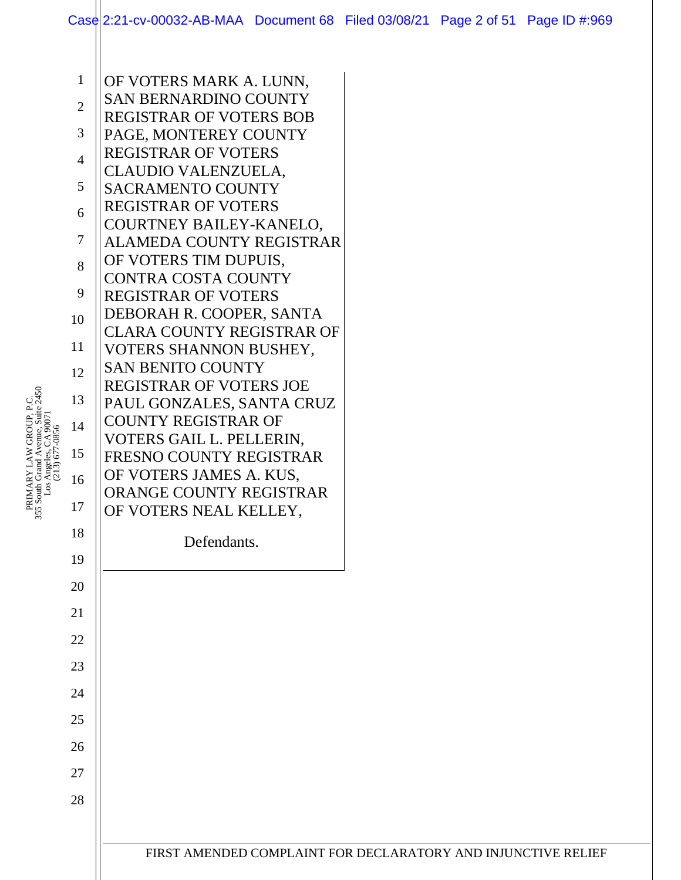|                | Case 2:21-cv-00032-AB-MAA Document 68 Filed 03/08/21 Page 2 of 51 Page ID #:969 |                                                               |  |  |  |  |  |  |
|----------------|---------------------------------------------------------------------------------|---------------------------------------------------------------|--|--|--|--|--|--|
|                |                                                                                 |                                                               |  |  |  |  |  |  |
| $\mathbf{1}$   | OF VOTERS MARK A. LUNN,                                                         |                                                               |  |  |  |  |  |  |
|                | <b>SAN BERNARDINO COUNTY</b>                                                    |                                                               |  |  |  |  |  |  |
| $\overline{2}$ | <b>REGISTRAR OF VOTERS BOB</b>                                                  |                                                               |  |  |  |  |  |  |
| 3              | PAGE, MONTEREY COUNTY                                                           |                                                               |  |  |  |  |  |  |
| $\overline{4}$ | <b>REGISTRAR OF VOTERS</b>                                                      |                                                               |  |  |  |  |  |  |
|                | CLAUDIO VALENZUELA,                                                             |                                                               |  |  |  |  |  |  |
| 5              | <b>SACRAMENTO COUNTY</b>                                                        |                                                               |  |  |  |  |  |  |
| 6              | REGISTRAR OF VOTERS<br>COURTNEY BAILEY-KANELO,                                  |                                                               |  |  |  |  |  |  |
| $\tau$         | ALAMEDA COUNTY REGISTRAR                                                        |                                                               |  |  |  |  |  |  |
| 8              | OF VOTERS TIM DUPUIS,                                                           |                                                               |  |  |  |  |  |  |
|                | <b>CONTRA COSTA COUNTY</b>                                                      |                                                               |  |  |  |  |  |  |
| 9              | <b>REGISTRAR OF VOTERS</b>                                                      |                                                               |  |  |  |  |  |  |
| 10             | DEBORAH R. COOPER, SANTA                                                        |                                                               |  |  |  |  |  |  |
| 11             | <b>CLARA COUNTY REGISTRAR OF</b>                                                |                                                               |  |  |  |  |  |  |
|                | VOTERS SHANNON BUSHEY,<br><b>SAN BENITO COUNTY</b>                              |                                                               |  |  |  |  |  |  |
| 12             | REGISTRAR OF VOTERS JOE                                                         |                                                               |  |  |  |  |  |  |
| 13             | PAUL GONZALES, SANTA CRUZ                                                       |                                                               |  |  |  |  |  |  |
| 14             | <b>COUNTY REGISTRAR OF</b>                                                      |                                                               |  |  |  |  |  |  |
|                | VOTERS GAIL L. PELLERIN,                                                        |                                                               |  |  |  |  |  |  |
| 15             | FRESNO COUNTY REGISTRAR                                                         |                                                               |  |  |  |  |  |  |
| 16             | OF VOTERS JAMES A. KUS,<br>ORANGE COUNTY REGISTRAR                              |                                                               |  |  |  |  |  |  |
| 17             | OF VOTERS NEAL KELLEY,                                                          |                                                               |  |  |  |  |  |  |
| 18             |                                                                                 |                                                               |  |  |  |  |  |  |
|                | Defendants.                                                                     |                                                               |  |  |  |  |  |  |
| 19             |                                                                                 |                                                               |  |  |  |  |  |  |
| 20             |                                                                                 |                                                               |  |  |  |  |  |  |
| 21             |                                                                                 |                                                               |  |  |  |  |  |  |
| 22             |                                                                                 |                                                               |  |  |  |  |  |  |
| 23             |                                                                                 |                                                               |  |  |  |  |  |  |
| 24             |                                                                                 |                                                               |  |  |  |  |  |  |
| 25             |                                                                                 |                                                               |  |  |  |  |  |  |
| 26             |                                                                                 |                                                               |  |  |  |  |  |  |
| 27             |                                                                                 |                                                               |  |  |  |  |  |  |
| 28             |                                                                                 |                                                               |  |  |  |  |  |  |
|                |                                                                                 |                                                               |  |  |  |  |  |  |
|                |                                                                                 | FIRST AMENDED COMPLAINT FOR DECLARATORY AND INJUNCTIVE RELIEF |  |  |  |  |  |  |
|                |                                                                                 |                                                               |  |  |  |  |  |  |

PRIMARY LAW GROUP, P.C.<br>355 South Grand Avenue, Suite 2450<br>Los Angeles, CA 90071<br>(213) 677-0856 355 South Grand Avenue, Suite 2450 PRIMARY LAW GROUP, P.C. Los Angeles, CA 90071 (213) 677-0856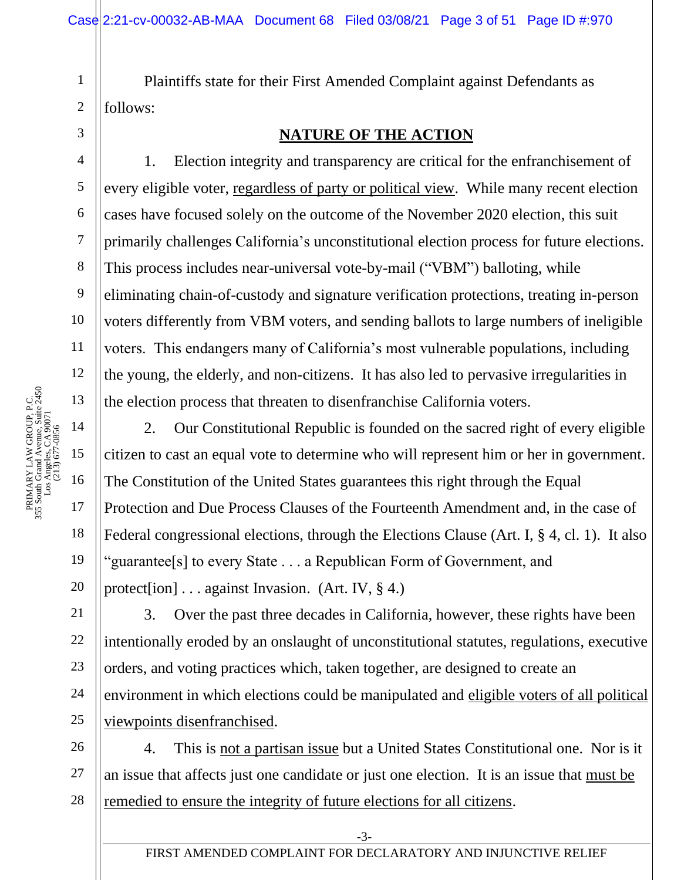Plaintiffs state for their First Amended Complaint against Defendants as follows:

### **NATURE OF THE ACTION**

1. Election integrity and transparency are critical for the enfranchisement of every eligible voter, regardless of party or political view. While many recent election cases have focused solely on the outcome of the November 2020 election, this suit primarily challenges California's unconstitutional election process for future elections. This process includes near-universal vote-by-mail ("VBM") balloting, while eliminating chain-of-custody and signature verification protections, treating in-person voters differently from VBM voters, and sending ballots to large numbers of ineligible voters. This endangers many of California's most vulnerable populations, including the young, the elderly, and non-citizens. It has also led to pervasive irregularities in the election process that threaten to disenfranchise California voters.

2. Our Constitutional Republic is founded on the sacred right of every eligible citizen to cast an equal vote to determine who will represent him or her in government. The Constitution of the United States guarantees this right through the Equal Protection and Due Process Clauses of the Fourteenth Amendment and, in the case of Federal congressional elections, through the Elections Clause (Art. I, § 4, cl. 1). It also "guarantee[s] to every State . . . a Republican Form of Government, and protect[ion] . . . against Invasion. (Art. IV, § 4.)

3. Over the past three decades in California, however, these rights have been intentionally eroded by an onslaught of unconstitutional statutes, regulations, executive orders, and voting practices which, taken together, are designed to create an environment in which elections could be manipulated and eligible voters of all political viewpoints disenfranchised.

26 27 28 4. This is not a partisan issue but a United States Constitutional one. Nor is it an issue that affects just one candidate or just one election. It is an issue that must be remedied to ensure the integrity of future elections for all citizens.

1

2

3

4

5

6

7

8

9

10

11

12

18

19

20

21

22

23

24

25

-3-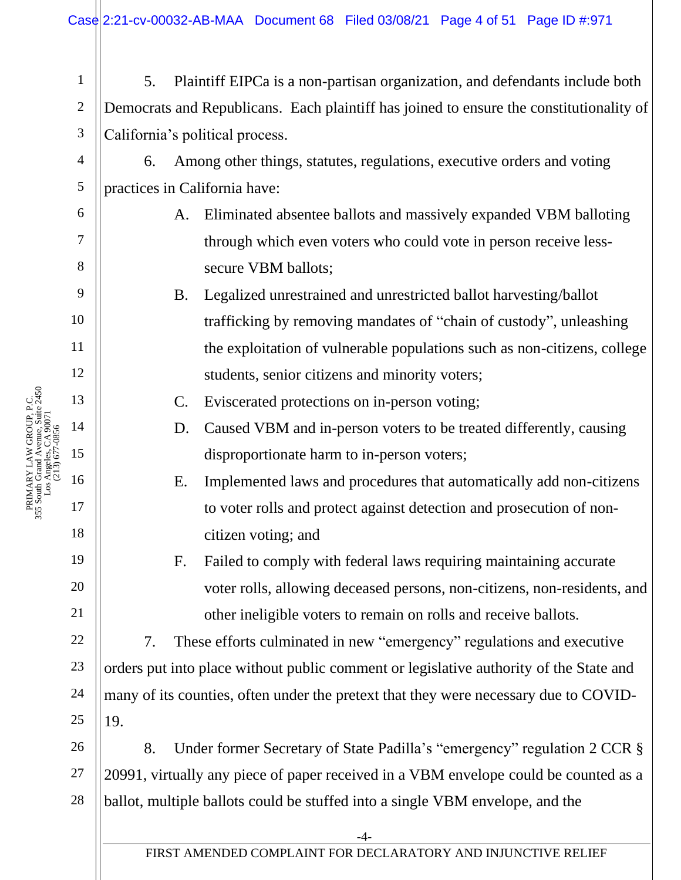|      | $\mathbf{1}$   | Plaintiff EIPCa is a non-partisan organization, and defendants include both<br>5.       |  |  |  |
|------|----------------|-----------------------------------------------------------------------------------------|--|--|--|
|      | $\mathbf{2}$   | Democrats and Republicans. Each plaintiff has joined to ensure the constitutionality of |  |  |  |
|      | 3              | California's political process.                                                         |  |  |  |
|      | 4              | Among other things, statutes, regulations, executive orders and voting<br>6.            |  |  |  |
|      | $\mathfrak{S}$ | practices in California have:                                                           |  |  |  |
|      | 6              | Eliminated absentee ballots and massively expanded VBM balloting<br>A.                  |  |  |  |
|      | 7              | through which even voters who could vote in person receive less-                        |  |  |  |
|      | 8              | secure VBM ballots;                                                                     |  |  |  |
|      | 9              | Legalized unrestrained and unrestricted ballot harvesting/ballot<br><b>B.</b>           |  |  |  |
|      | 10             | trafficking by removing mandates of "chain of custody", unleashing                      |  |  |  |
|      | 11             | the exploitation of vulnerable populations such as non-citizens, college                |  |  |  |
|      | 12             | students, senior citizens and minority voters;                                          |  |  |  |
| 2450 | 13             | Eviscerated protections on in-person voting;<br>C.                                      |  |  |  |
|      | 14             | D.<br>Caused VBM and in-person voters to be treated differently, causing                |  |  |  |
|      | 15             | disproportionate harm to in-person voters;                                              |  |  |  |
|      | 16             | Implemented laws and procedures that automatically add non-citizens<br>Ε.               |  |  |  |
|      | 17             | to voter rolls and protect against detection and prosecution of non-                    |  |  |  |
|      | 18             | citizen voting; and                                                                     |  |  |  |
|      | 19             | Failed to comply with federal laws requiring maintaining accurate<br>F.                 |  |  |  |
|      | 20             | voter rolls, allowing deceased persons, non-citizens, non-residents, and                |  |  |  |
|      | 21             | other ineligible voters to remain on rolls and receive ballots.                         |  |  |  |
|      | 22             | These efforts culminated in new "emergency" regulations and executive<br>7.             |  |  |  |
|      | 23             | orders put into place without public comment or legislative authority of the State and  |  |  |  |
|      | 24             | many of its counties, often under the pretext that they were necessary due to COVID-    |  |  |  |
|      | 25             | 19.                                                                                     |  |  |  |
|      | 26             | Under former Secretary of State Padilla's "emergency" regulation 2 CCR §<br>8.          |  |  |  |
|      | 27             | 20991, virtually any piece of paper received in a VBM envelope could be counted as a    |  |  |  |
|      | $28\,$         | ballot, multiple ballots could be stuffed into a single VBM envelope, and the           |  |  |  |
|      |                | -4-                                                                                     |  |  |  |
|      |                | FIRST AMENDED COMPLAINT FOR DECLARATORY AND INJUNCTIVE RELIEF                           |  |  |  |
|      |                |                                                                                         |  |  |  |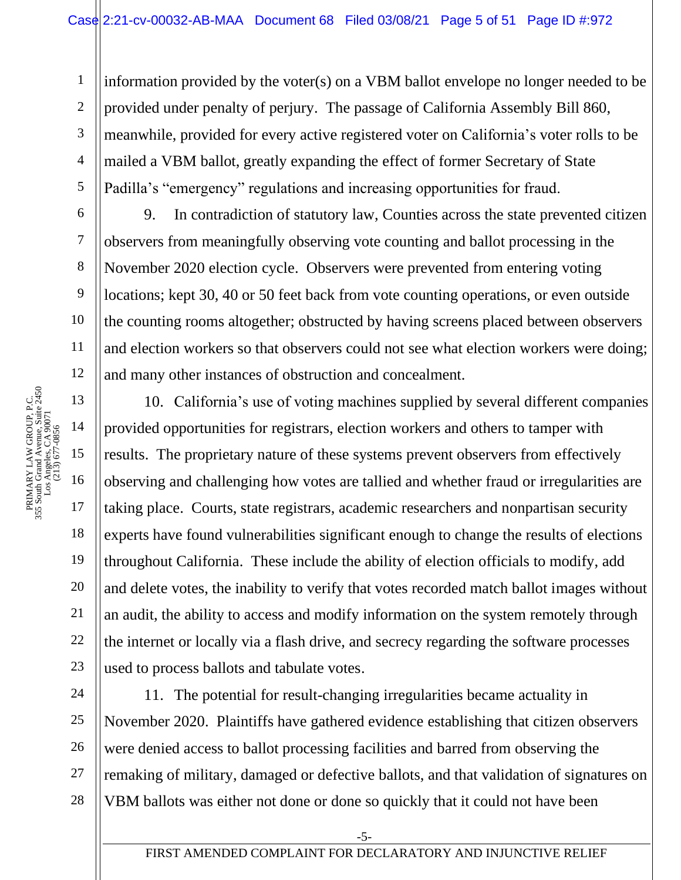3 4 5 information provided by the voter(s) on a VBM ballot envelope no longer needed to be provided under penalty of perjury. The passage of California Assembly Bill 860, meanwhile, provided for every active registered voter on California's voter rolls to be mailed a VBM ballot, greatly expanding the effect of former Secretary of State Padilla's "emergency" regulations and increasing opportunities for fraud.

9. In contradiction of statutory law, Counties across the state prevented citizen observers from meaningfully observing vote counting and ballot processing in the November 2020 election cycle. Observers were prevented from entering voting locations; kept 30, 40 or 50 feet back from vote counting operations, or even outside the counting rooms altogether; obstructed by having screens placed between observers and election workers so that observers could not see what election workers were doing; and many other instances of obstruction and concealment.

10. California's use of voting machines supplied by several different companies provided opportunities for registrars, election workers and others to tamper with results. The proprietary nature of these systems prevent observers from effectively observing and challenging how votes are tallied and whether fraud or irregularities are taking place. Courts, state registrars, academic researchers and nonpartisan security experts have found vulnerabilities significant enough to change the results of elections throughout California. These include the ability of election officials to modify, add and delete votes, the inability to verify that votes recorded match ballot images without an audit, the ability to access and modify information on the system remotely through the internet or locally via a flash drive, and secrecy regarding the software processes used to process ballots and tabulate votes.

26 11. The potential for result-changing irregularities became actuality in November 2020. Plaintiffs have gathered evidence establishing that citizen observers were denied access to ballot processing facilities and barred from observing the remaking of military, damaged or defective ballots, and that validation of signatures on VBM ballots was either not done or done so quickly that it could not have been

1

2

6

7

8

9

10

11

12

18

19

20

21

22

23

24

25

27

28

-5-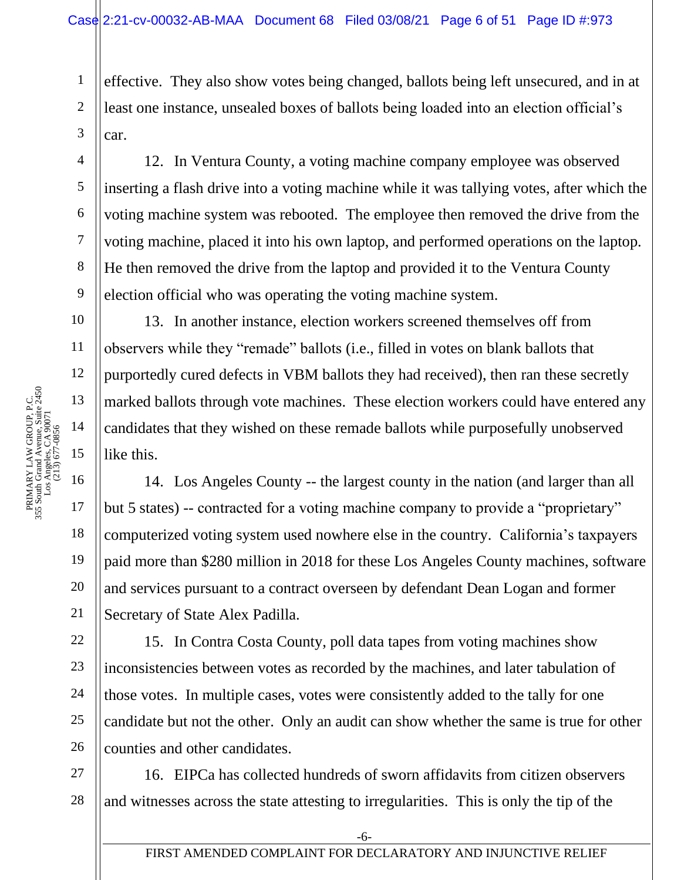3 effective. They also show votes being changed, ballots being left unsecured, and in at least one instance, unsealed boxes of ballots being loaded into an election official's car.

12. In Ventura County, a voting machine company employee was observed inserting a flash drive into a voting machine while it was tallying votes, after which the voting machine system was rebooted. The employee then removed the drive from the voting machine, placed it into his own laptop, and performed operations on the laptop. He then removed the drive from the laptop and provided it to the Ventura County election official who was operating the voting machine system.

13. In another instance, election workers screened themselves off from observers while they "remade" ballots (i.e., filled in votes on blank ballots that purportedly cured defects in VBM ballots they had received), then ran these secretly marked ballots through vote machines. These election workers could have entered any candidates that they wished on these remade ballots while purposefully unobserved like this.

14. Los Angeles County -- the largest county in the nation (and larger than all but 5 states) -- contracted for a voting machine company to provide a "proprietary" computerized voting system used nowhere else in the country. California's taxpayers paid more than \$280 million in 2018 for these Los Angeles County machines, software and services pursuant to a contract overseen by defendant Dean Logan and former Secretary of State Alex Padilla.

15. In Contra Costa County, poll data tapes from voting machines show inconsistencies between votes as recorded by the machines, and later tabulation of those votes. In multiple cases, votes were consistently added to the tally for one candidate but not the other. Only an audit can show whether the same is true for other counties and other candidates.

27 28 16. EIPCa has collected hundreds of sworn affidavits from citizen observers and witnesses across the state attesting to irregularities. This is only the tip of the

1

2

4

5

6

7

8

9

10

11

12

18

19

20

21

22

23

24

25

26

-6-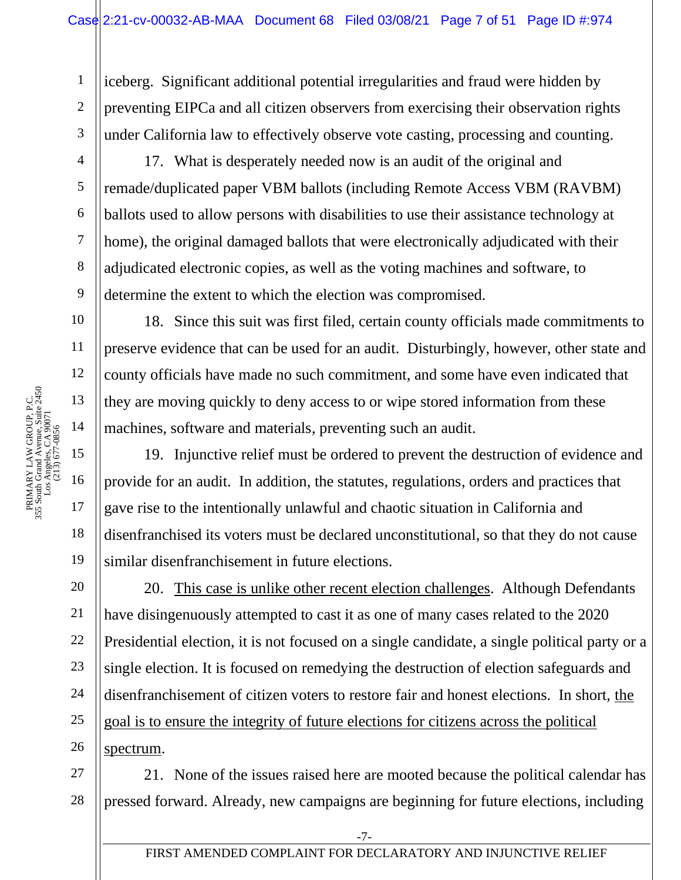1 2 iceberg. Significant additional potential irregularities and fraud were hidden by preventing EIPCa and all citizen observers from exercising their observation rights under California law to effectively observe vote casting, processing and counting.

3 4

5

6

7

8

9

10

11

18

19

21

22

23

25

26

spectrum.

17. What is desperately needed now is an audit of the original and remade/duplicated paper VBM ballots (including Remote Access VBM (RAVBM) ballots used to allow persons with disabilities to use their assistance technology at home), the original damaged ballots that were electronically adjudicated with their adjudicated electronic copies, as well as the voting machines and software, to determine the extent to which the election was compromised.

18. Since this suit was first filed, certain county officials made commitments to preserve evidence that can be used for an audit. Disturbingly, however, other state and county officials have made no such commitment, and some have even indicated that they are moving quickly to deny access to or wipe stored information from these machines, software and materials, preventing such an audit.

19. Injunctive relief must be ordered to prevent the destruction of evidence and provide for an audit. In addition, the statutes, regulations, orders and practices that gave rise to the intentionally unlawful and chaotic situation in California and disenfranchised its voters must be declared unconstitutional, so that they do not cause similar disenfranchisement in future elections.

20 24 20. This case is unlike other recent election challenges. Although Defendants have disingenuously attempted to cast it as one of many cases related to the 2020 Presidential election, it is not focused on a single candidate, a single political party or a single election. It is focused on remedying the destruction of election safeguards and disenfranchisement of citizen voters to restore fair and honest elections. In short, the goal is to ensure the integrity of future elections for citizens across the political

27 28 21. None of the issues raised here are mooted because the political calendar has pressed forward. Already, new campaigns are beginning for future elections, including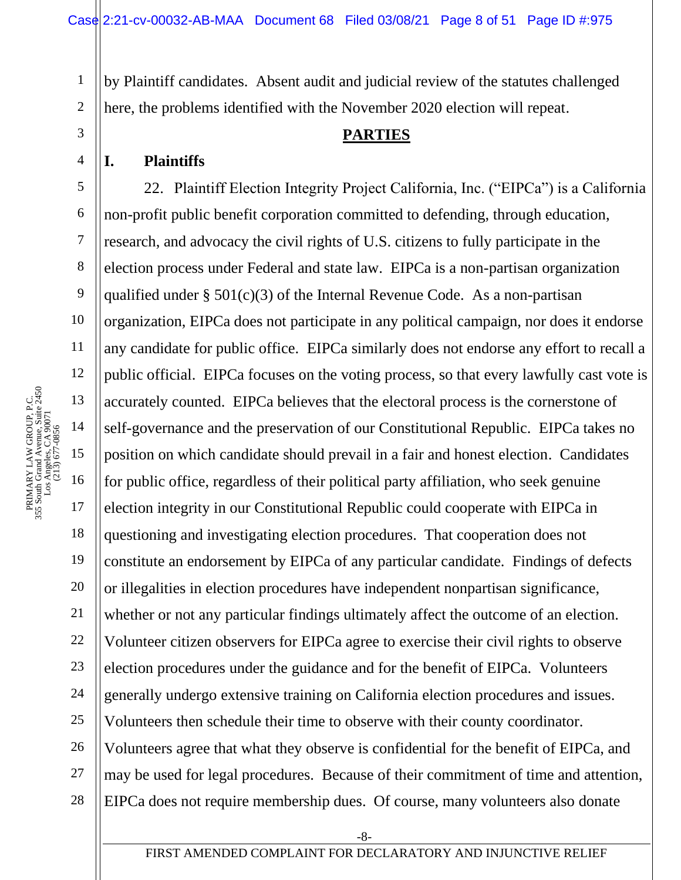by Plaintiff candidates. Absent audit and judicial review of the statutes challenged here, the problems identified with the November 2020 election will repeat.

#### **PARTIES**

#### **I. Plaintiffs**

1

2

3

4

5

8

9

11

18

21

6 7 10 12 14 19 20 22 23 24 25 26 27 28 22. Plaintiff Election Integrity Project California, Inc. ("EIPCa") is a California non-profit public benefit corporation committed to defending, through education, research, and advocacy the civil rights of U.S. citizens to fully participate in the election process under Federal and state law. EIPCa is a non-partisan organization qualified under  $\S 501(c)(3)$  of the Internal Revenue Code. As a non-partisan organization, EIPCa does not participate in any political campaign, nor does it endorse any candidate for public office. EIPCa similarly does not endorse any effort to recall a public official. EIPCa focuses on the voting process, so that every lawfully cast vote is accurately counted. EIPCa believes that the electoral process is the cornerstone of self-governance and the preservation of our Constitutional Republic. EIPCa takes no position on which candidate should prevail in a fair and honest election. Candidates for public office, regardless of their political party affiliation, who seek genuine election integrity in our Constitutional Republic could cooperate with EIPCa in questioning and investigating election procedures. That cooperation does not constitute an endorsement by EIPCa of any particular candidate. Findings of defects or illegalities in election procedures have independent nonpartisan significance, whether or not any particular findings ultimately affect the outcome of an election. Volunteer citizen observers for EIPCa agree to exercise their civil rights to observe election procedures under the guidance and for the benefit of EIPCa. Volunteers generally undergo extensive training on California election procedures and issues. Volunteers then schedule their time to observe with their county coordinator. Volunteers agree that what they observe is confidential for the benefit of EIPCa, and may be used for legal procedures. Because of their commitment of time and attention, EIPCa does not require membership dues. Of course, many volunteers also donate

-8-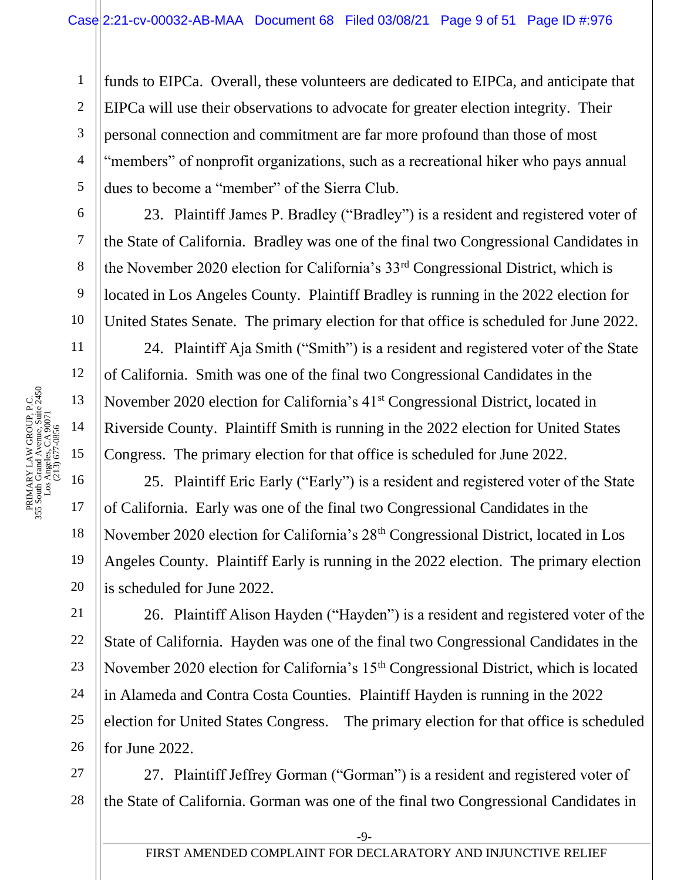funds to EIPCa. Overall, these volunteers are dedicated to EIPCa, and anticipate that EIPCa will use their observations to advocate for greater election integrity. Their personal connection and commitment are far more profound than those of most "members" of nonprofit organizations, such as a recreational hiker who pays annual dues to become a "member" of the Sierra Club.

23. Plaintiff James P. Bradley ("Bradley") is a resident and registered voter of the State of California. Bradley was one of the final two Congressional Candidates in the November 2020 election for California's 33rd Congressional District, which is located in Los Angeles County. Plaintiff Bradley is running in the 2022 election for United States Senate. The primary election for that office is scheduled for June 2022.

24. Plaintiff Aja Smith ("Smith") is a resident and registered voter of the State of California. Smith was one of the final two Congressional Candidates in the November 2020 election for California's 41<sup>st</sup> Congressional District, located in Riverside County. Plaintiff Smith is running in the 2022 election for United States Congress. The primary election for that office is scheduled for June 2022.

25. Plaintiff Eric Early ("Early") is a resident and registered voter of the State of California. Early was one of the final two Congressional Candidates in the November 2020 election for California's 28<sup>th</sup> Congressional District, located in Los Angeles County. Plaintiff Early is running in the 2022 election. The primary election is scheduled for June 2022.

26. Plaintiff Alison Hayden ("Hayden") is a resident and registered voter of the State of California. Hayden was one of the final two Congressional Candidates in the November 2020 election for California's 15<sup>th</sup> Congressional District, which is located in Alameda and Contra Costa Counties. Plaintiff Hayden is running in the 2022 election for United States Congress. The primary election for that office is scheduled for June 2022.

27 28 27. Plaintiff Jeffrey Gorman ("Gorman") is a resident and registered voter of the State of California. Gorman was one of the final two Congressional Candidates in

1

2

3

4

5

6

7

8

9

10

11

12

18

19

20

21

22

23

24

25

26

-9-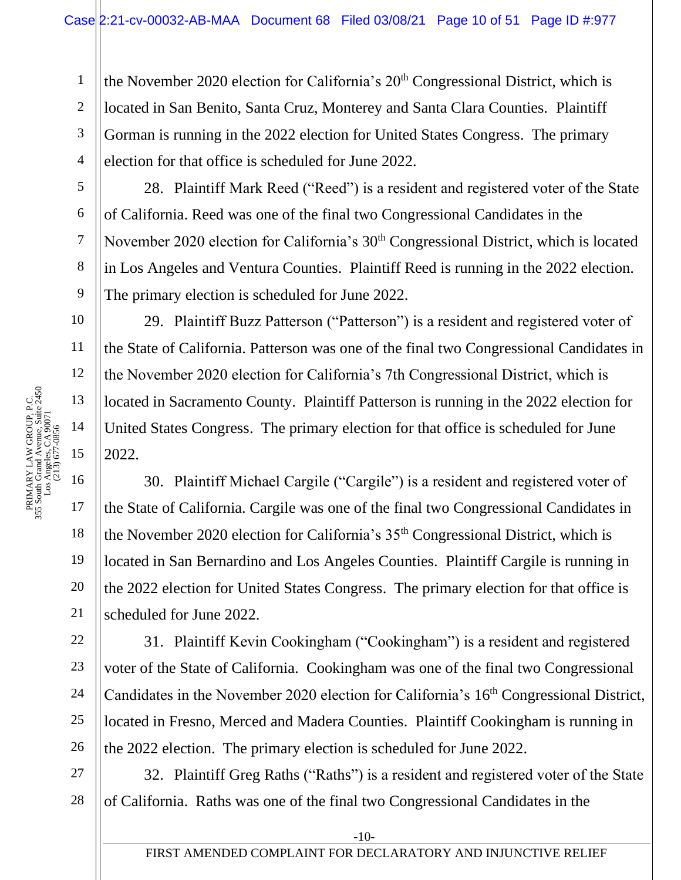the November 2020 election for California's  $20<sup>th</sup>$  Congressional District, which is located in San Benito, Santa Cruz, Monterey and Santa Clara Counties. Plaintiff Gorman is running in the 2022 election for United States Congress. The primary election for that office is scheduled for June 2022.

5 6

7

8

9

10

11

12

14

18

19

20

21

22

23

24

25

26

1

2

3

4

28. Plaintiff Mark Reed ("Reed") is a resident and registered voter of the State of California. Reed was one of the final two Congressional Candidates in the November 2020 election for California's 30<sup>th</sup> Congressional District, which is located in Los Angeles and Ventura Counties. Plaintiff Reed is running in the 2022 election. The primary election is scheduled for June 2022.

29. Plaintiff Buzz Patterson ("Patterson") is a resident and registered voter of the State of California. Patterson was one of the final two Congressional Candidates in the November 2020 election for California's 7th Congressional District, which is located in Sacramento County. Plaintiff Patterson is running in the 2022 election for United States Congress. The primary election for that office is scheduled for June 2022.

30. Plaintiff Michael Cargile ("Cargile") is a resident and registered voter of the State of California. Cargile was one of the final two Congressional Candidates in the November 2020 election for California's 35<sup>th</sup> Congressional District, which is located in San Bernardino and Los Angeles Counties. Plaintiff Cargile is running in the 2022 election for United States Congress. The primary election for that office is scheduled for June 2022.

31. Plaintiff Kevin Cookingham ("Cookingham") is a resident and registered voter of the State of California. Cookingham was one of the final two Congressional Candidates in the November 2020 election for California's 16th Congressional District, located in Fresno, Merced and Madera Counties. Plaintiff Cookingham is running in the 2022 election. The primary election is scheduled for June 2022.

27 28 32. Plaintiff Greg Raths ("Raths") is a resident and registered voter of the State of California. Raths was one of the final two Congressional Candidates in the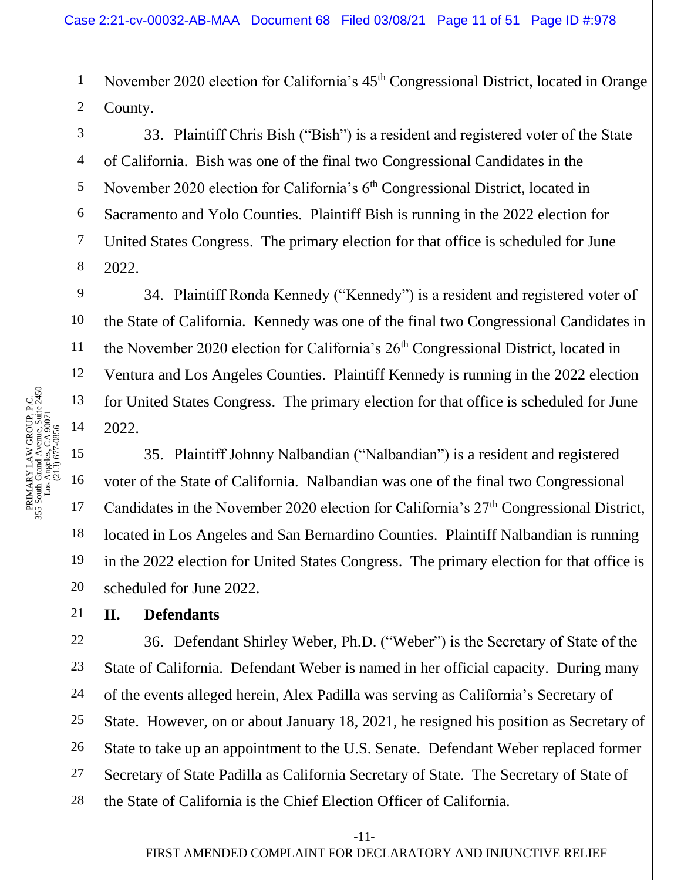1 2 November 2020 election for California's  $45<sup>th</sup>$  Congressional District, located in Orange County.

33. Plaintiff Chris Bish ("Bish") is a resident and registered voter of the State of California. Bish was one of the final two Congressional Candidates in the November 2020 election for California's  $6<sup>th</sup>$  Congressional District, located in Sacramento and Yolo Counties. Plaintiff Bish is running in the 2022 election for United States Congress. The primary election for that office is scheduled for June 2022.

34. Plaintiff Ronda Kennedy ("Kennedy") is a resident and registered voter of the State of California. Kennedy was one of the final two Congressional Candidates in the November 2020 election for California's  $26<sup>th</sup>$  Congressional District, located in Ventura and Los Angeles Counties. Plaintiff Kennedy is running in the 2022 election for United States Congress. The primary election for that office is scheduled for June 2022.

35. Plaintiff Johnny Nalbandian ("Nalbandian") is a resident and registered voter of the State of California. Nalbandian was one of the final two Congressional Candidates in the November 2020 election for California's 27<sup>th</sup> Congressional District, located in Los Angeles and San Bernardino Counties. Plaintiff Nalbandian is running in the 2022 election for United States Congress. The primary election for that office is scheduled for June 2022.

### **II. Defendants**

22 23 24 25 26 27 28 36. Defendant Shirley Weber, Ph.D. ("Weber") is the Secretary of State of the State of California. Defendant Weber is named in her official capacity. During many of the events alleged herein, Alex Padilla was serving as California's Secretary of State. However, on or about January 18, 2021, he resigned his position as Secretary of State to take up an appointment to the U.S. Senate. Defendant Weber replaced former Secretary of State Padilla as California Secretary of State. The Secretary of State of the State of California is the Chief Election Officer of California.

3

4

5

6

7

8

9

10

11

12

18

19

20

21

-11-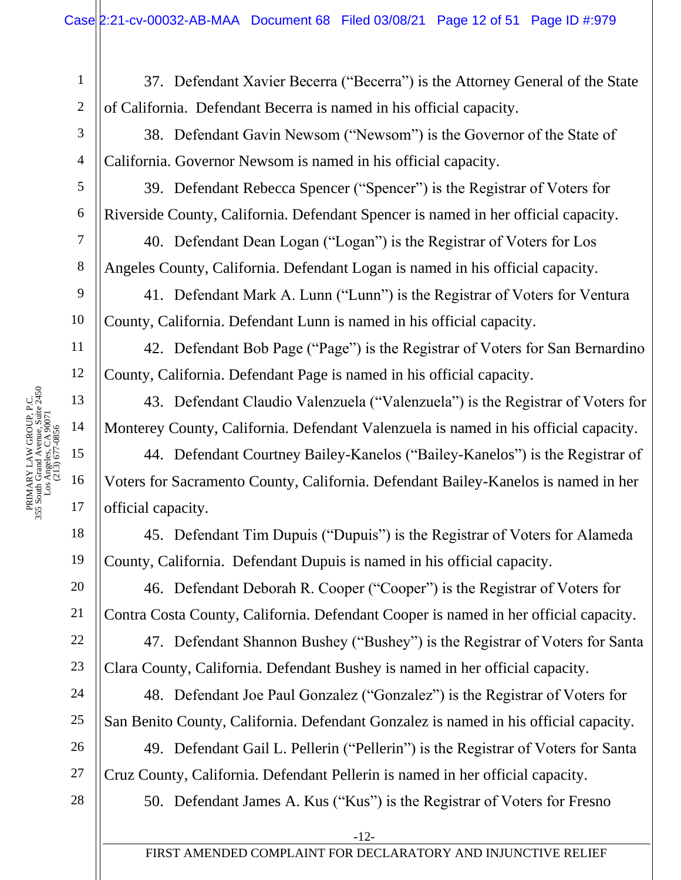37. Defendant Xavier Becerra ("Becerra") is the Attorney General of the State of California. Defendant Becerra is named in his official capacity.

38. Defendant Gavin Newsom ("Newsom") is the Governor of the State of California. Governor Newsom is named in his official capacity.

39. Defendant Rebecca Spencer ("Spencer") is the Registrar of Voters for Riverside County, California. Defendant Spencer is named in her official capacity.

40. Defendant Dean Logan ("Logan") is the Registrar of Voters for Los Angeles County, California. Defendant Logan is named in his official capacity.

41. Defendant Mark A. Lunn ("Lunn") is the Registrar of Voters for Ventura County, California. Defendant Lunn is named in his official capacity.

42. Defendant Bob Page ("Page") is the Registrar of Voters for San Bernardino County, California. Defendant Page is named in his official capacity.

43. Defendant Claudio Valenzuela ("Valenzuela") is the Registrar of Voters for Monterey County, California. Defendant Valenzuela is named in his official capacity.

44. Defendant Courtney Bailey-Kanelos ("Bailey-Kanelos") is the Registrar of Voters for Sacramento County, California. Defendant Bailey-Kanelos is named in her official capacity.

45. Defendant Tim Dupuis ("Dupuis") is the Registrar of Voters for Alameda County, California. Defendant Dupuis is named in his official capacity.

46. Defendant Deborah R. Cooper ("Cooper") is the Registrar of Voters for Contra Costa County, California. Defendant Cooper is named in her official capacity.

47. Defendant Shannon Bushey ("Bushey") is the Registrar of Voters for Santa Clara County, California. Defendant Bushey is named in her official capacity.

48. Defendant Joe Paul Gonzalez ("Gonzalez") is the Registrar of Voters for San Benito County, California. Defendant Gonzalez is named in his official capacity.

49. Defendant Gail L. Pellerin ("Pellerin") is the Registrar of Voters for Santa Cruz County, California. Defendant Pellerin is named in her official capacity.

50. Defendant James A. Kus ("Kus") is the Registrar of Voters for Fresno

1

2

3

4

5

6

7

8

9

18

19

20

21

22

23

24

25

26

27

28

-12-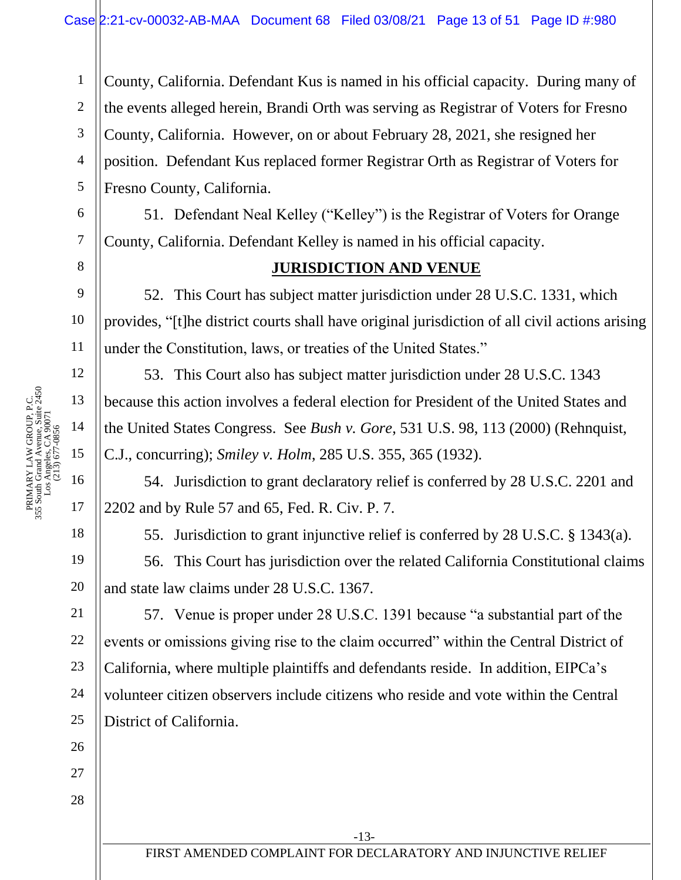3 4 5 County, California. Defendant Kus is named in his official capacity. During many of the events alleged herein, Brandi Orth was serving as Registrar of Voters for Fresno County, California. However, on or about February 28, 2021, she resigned her position. Defendant Kus replaced former Registrar Orth as Registrar of Voters for Fresno County, California.

51. Defendant Neal Kelley ("Kelley") is the Registrar of Voters for Orange County, California. Defendant Kelley is named in his official capacity.

## **JURISDICTION AND VENUE**

52. This Court has subject matter jurisdiction under 28 U.S.C. 1331, which provides, "[t]he district courts shall have original jurisdiction of all civil actions arising under the Constitution, laws, or treaties of the United States."

53. This Court also has subject matter jurisdiction under 28 U.S.C. 1343 because this action involves a federal election for President of the United States and the United States Congress. See *Bush v. Gore*, 531 U.S. 98, 113 (2000) (Rehnquist, C.J., concurring); *Smiley v. Holm*, 285 U.S. 355, 365 (1932).

54. Jurisdiction to grant declaratory relief is conferred by 28 U.S.C. 2201 and 2202 and by Rule 57 and 65, Fed. R. Civ. P. 7.

55. Jurisdiction to grant injunctive relief is conferred by 28 U.S.C. § 1343(a).

56. This Court has jurisdiction over the related California Constitutional claims and state law claims under 28 U.S.C. 1367.

57. Venue is proper under 28 U.S.C. 1391 because "a substantial part of the events or omissions giving rise to the claim occurred" within the Central District of California, where multiple plaintiffs and defendants reside. In addition, EIPCa's volunteer citizen observers include citizens who reside and vote within the Central District of California.

1

2

6

7

8

9

10

11

12

18

19

20

21

22

23

24

25

26

27

28

-13-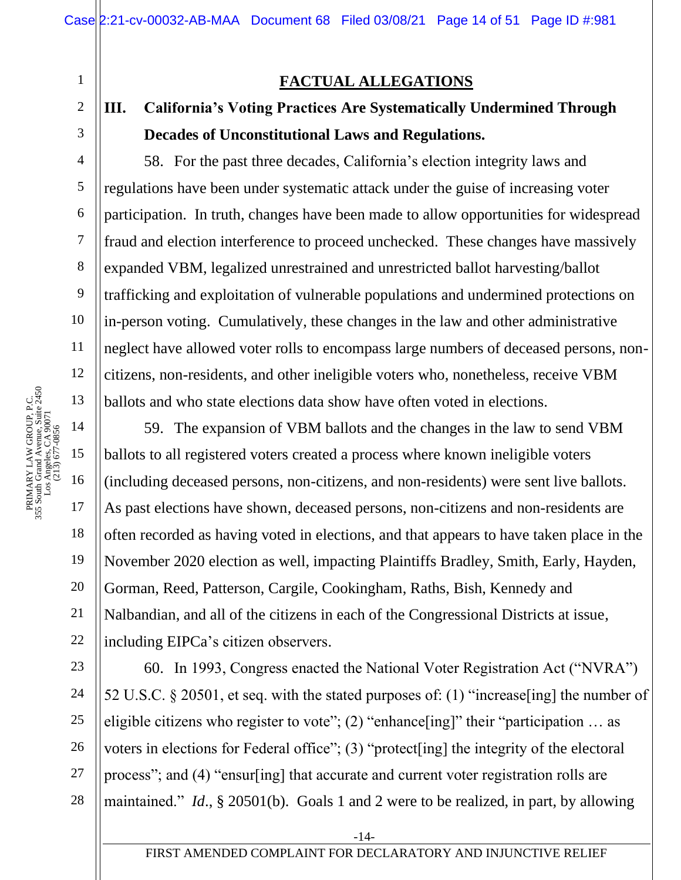1 2 3 4 5 6 7 8 9 10 11 12 PRIMARY LAW GROUP, P.C.<br>355 South Grand Avenue, Suite 2450<br>Los Angeles, CA 90071<br>(213) 677-0856 13 14 (213) 677-0856 15 16 17 18 19

PRIMARY LAW GROUP, P.C. 355 South Grand Avenue, Suite 2450 Los Angeles, CA 90071

20

21

22

## **FACTUAL ALLEGATIONS**

## **III. California's Voting Practices Are Systematically Undermined Through Decades of Unconstitutional Laws and Regulations.**

58. For the past three decades, California's election integrity laws and regulations have been under systematic attack under the guise of increasing voter participation. In truth, changes have been made to allow opportunities for widespread fraud and election interference to proceed unchecked. These changes have massively expanded VBM, legalized unrestrained and unrestricted ballot harvesting/ballot trafficking and exploitation of vulnerable populations and undermined protections on in-person voting. Cumulatively, these changes in the law and other administrative neglect have allowed voter rolls to encompass large numbers of deceased persons, noncitizens, non-residents, and other ineligible voters who, nonetheless, receive VBM ballots and who state elections data show have often voted in elections.

59. The expansion of VBM ballots and the changes in the law to send VBM ballots to all registered voters created a process where known ineligible voters (including deceased persons, non-citizens, and non-residents) were sent live ballots. As past elections have shown, deceased persons, non-citizens and non-residents are often recorded as having voted in elections, and that appears to have taken place in the November 2020 election as well, impacting Plaintiffs Bradley, Smith, Early, Hayden, Gorman, Reed, Patterson, Cargile, Cookingham, Raths, Bish, Kennedy and Nalbandian, and all of the citizens in each of the Congressional Districts at issue, including EIPCa's citizen observers.

23 24 25 26 27 28 60. In 1993, Congress enacted the National Voter Registration Act ("NVRA") 52 U.S.C. § 20501, et seq. with the stated purposes of: (1) "increase[ing] the number of eligible citizens who register to vote"; (2) "enhance[ing]" their "participation ... as voters in elections for Federal office"; (3) "protect[ing] the integrity of the electoral process"; and (4) "ensur[ing] that accurate and current voter registration rolls are maintained." *Id*., § 20501(b). Goals 1 and 2 were to be realized, in part, by allowing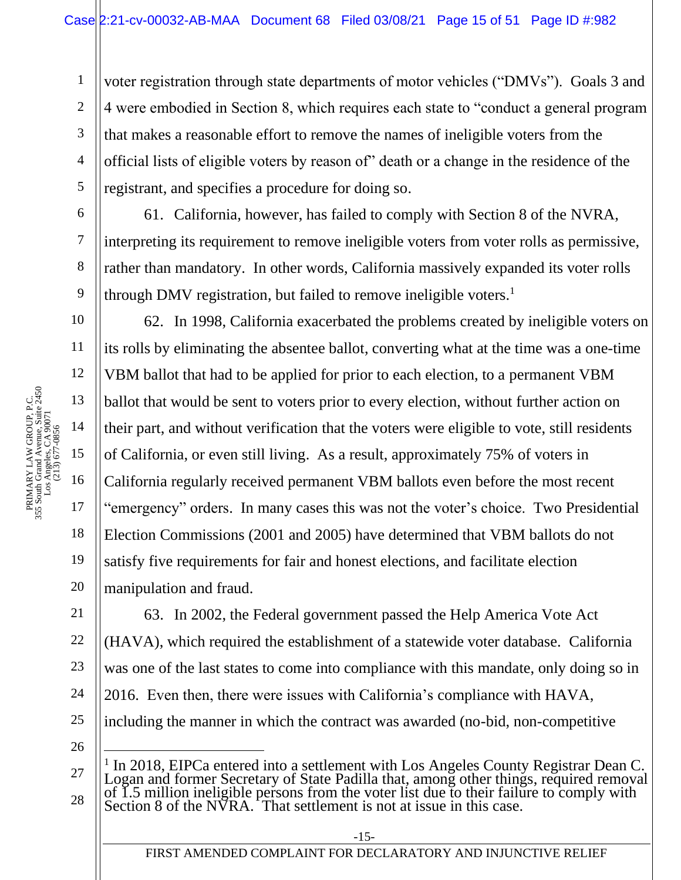voter registration through state departments of motor vehicles ("DMVs"). Goals 3 and 4 were embodied in Section 8, which requires each state to "conduct a general program that makes a reasonable effort to remove the names of ineligible voters from the official lists of eligible voters by reason of" death or a change in the residence of the registrant, and specifies a procedure for doing so.

61. California, however, has failed to comply with Section 8 of the NVRA, interpreting its requirement to remove ineligible voters from voter rolls as permissive, rather than mandatory. In other words, California massively expanded its voter rolls through DMV registration, but failed to remove ineligible voters.<sup>1</sup>

62. In 1998, California exacerbated the problems created by ineligible voters on its rolls by eliminating the absentee ballot, converting what at the time was a one-time VBM ballot that had to be applied for prior to each election, to a permanent VBM ballot that would be sent to voters prior to every election, without further action on their part, and without verification that the voters were eligible to vote, still residents of California, or even still living. As a result, approximately 75% of voters in California regularly received permanent VBM ballots even before the most recent "emergency" orders. In many cases this was not the voter's choice. Two Presidential Election Commissions (2001 and 2005) have determined that VBM ballots do not satisfy five requirements for fair and honest elections, and facilitate election manipulation and fraud.

63. In 2002, the Federal government passed the Help America Vote Act (HAVA), which required the establishment of a statewide voter database. California was one of the last states to come into compliance with this mandate, only doing so in 2016. Even then, there were issues with California's compliance with HAVA, including the manner in which the contract was awarded (no-bid, non-competitive

26

27

28

<sup>1</sup> In 2018, EIPCa entered into a settlement with Los Angeles County Registrar Dean C. Logan and former Secretary of State Padilla that, among other things, required removal of 1.5 million ineligible persons from the voter list due to their failure to comply with Section 8 of the  $N\overline{V}RA$ . That settlement is not at issue in this case.

1

2

3

4

5

6

7

8

9

10

11

18

19

20

21

22

23

24

25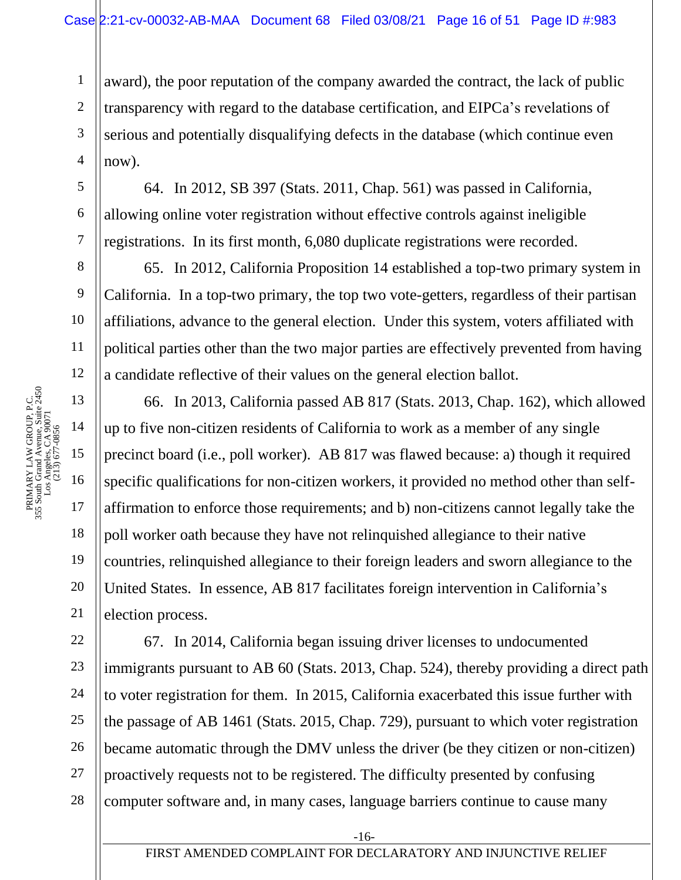award), the poor reputation of the company awarded the contract, the lack of public transparency with regard to the database certification, and EIPCa's revelations of serious and potentially disqualifying defects in the database (which continue even now).

64. In 2012, SB 397 (Stats. 2011, Chap. 561) was passed in California, allowing online voter registration without effective controls against ineligible registrations. In its first month, 6,080 duplicate registrations were recorded.

65. In 2012, California Proposition 14 established a top-two primary system in California. In a top-two primary, the top two vote-getters, regardless of their partisan affiliations, advance to the general election. Under this system, voters affiliated with political parties other than the two major parties are effectively prevented from having a candidate reflective of their values on the general election ballot.

66. In 2013, California passed AB 817 (Stats. 2013, Chap. 162), which allowed up to five non-citizen residents of California to work as a member of any single precinct board (i.e., poll worker). AB 817 was flawed because: a) though it required specific qualifications for non-citizen workers, it provided no method other than selfaffirmation to enforce those requirements; and b) non-citizens cannot legally take the poll worker oath because they have not relinquished allegiance to their native countries, relinquished allegiance to their foreign leaders and sworn allegiance to the United States. In essence, AB 817 facilitates foreign intervention in California's election process.

22 23 24 25 26 27 28 67. In 2014, California began issuing driver licenses to undocumented immigrants pursuant to AB 60 (Stats. 2013, Chap. 524), thereby providing a direct path to voter registration for them. In 2015, California exacerbated this issue further with the passage of AB 1461 (Stats. 2015, Chap. 729), pursuant to which voter registration became automatic through the DMV unless the driver (be they citizen or non-citizen) proactively requests not to be registered. The difficulty presented by confusing computer software and, in many cases, language barriers continue to cause many

18

19

20

21

1

2

3

4

5

6

7

8

9

-16-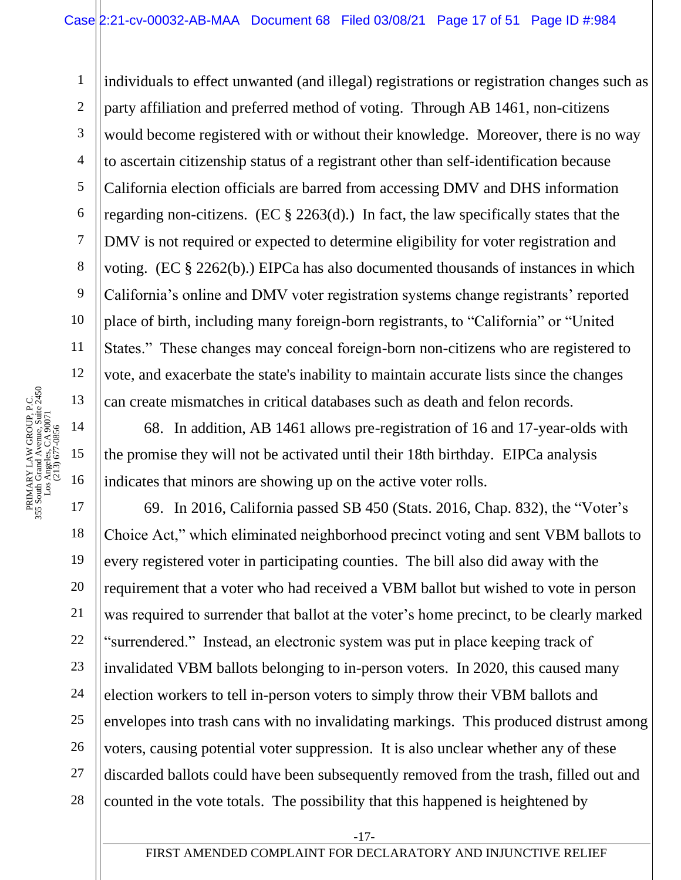3 4 5 6 7 9 10 12 individuals to effect unwanted (and illegal) registrations or registration changes such as party affiliation and preferred method of voting. Through AB 1461, non-citizens would become registered with or without their knowledge. Moreover, there is no way to ascertain citizenship status of a registrant other than self-identification because California election officials are barred from accessing DMV and DHS information regarding non-citizens. (EC  $\S$  2263(d).) In fact, the law specifically states that the DMV is not required or expected to determine eligibility for voter registration and voting. (EC § 2262(b).) EIPCa has also documented thousands of instances in which California's online and DMV voter registration systems change registrants' reported place of birth, including many foreign-born registrants, to "California" or "United States." These changes may conceal foreign-born non-citizens who are registered to vote, and exacerbate the state's inability to maintain accurate lists since the changes can create mismatches in critical databases such as death and felon records.

68. In addition, AB 1461 allows pre-registration of 16 and 17-year-olds with the promise they will not be activated until their 18th birthday. EIPCa analysis indicates that minors are showing up on the active voter rolls.

20 22 23 24 25 26 27 28 69. In 2016, California passed SB 450 (Stats. 2016, Chap. 832), the "Voter's Choice Act," which eliminated neighborhood precinct voting and sent VBM ballots to every registered voter in participating counties. The bill also did away with the requirement that a voter who had received a VBM ballot but wished to vote in person was required to surrender that ballot at the voter's home precinct, to be clearly marked "surrendered." Instead, an electronic system was put in place keeping track of invalidated VBM ballots belonging to in-person voters. In 2020, this caused many election workers to tell in-person voters to simply throw their VBM ballots and envelopes into trash cans with no invalidating markings. This produced distrust among voters, causing potential voter suppression. It is also unclear whether any of these discarded ballots could have been subsequently removed from the trash, filled out and counted in the vote totals. The possibility that this happened is heightened by

1

2

8

11

18

19

21

-17-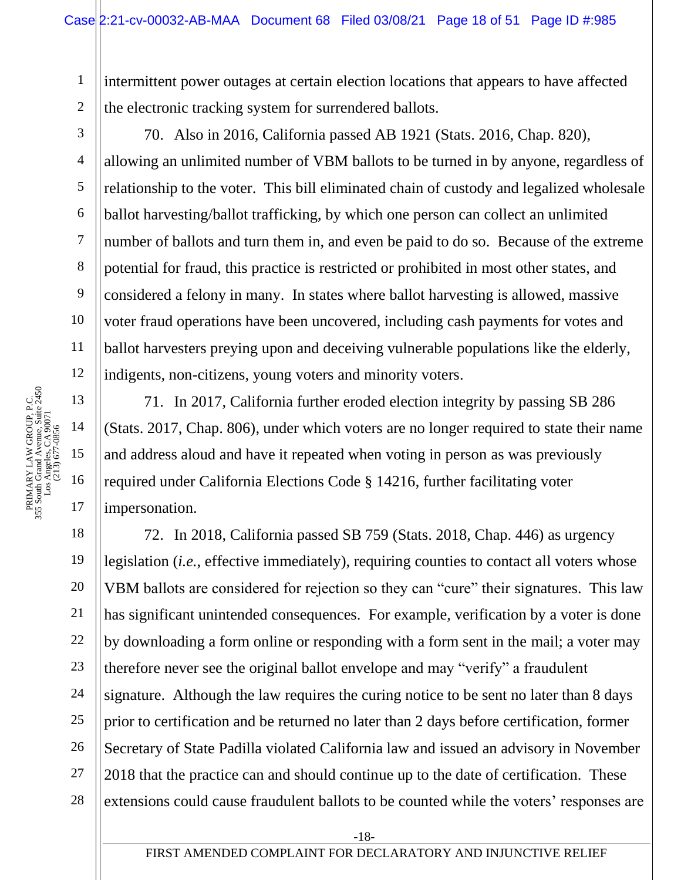1 2 intermittent power outages at certain election locations that appears to have affected the electronic tracking system for surrendered ballots.

3

4

5

6

7

8

9

10

11

12

70. Also in 2016, California passed AB 1921 (Stats. 2016, Chap. 820), allowing an unlimited number of VBM ballots to be turned in by anyone, regardless of relationship to the voter. This bill eliminated chain of custody and legalized wholesale ballot harvesting/ballot trafficking, by which one person can collect an unlimited number of ballots and turn them in, and even be paid to do so. Because of the extreme potential for fraud, this practice is restricted or prohibited in most other states, and considered a felony in many. In states where ballot harvesting is allowed, massive voter fraud operations have been uncovered, including cash payments for votes and ballot harvesters preying upon and deceiving vulnerable populations like the elderly, indigents, non-citizens, young voters and minority voters.

71. In 2017, California further eroded election integrity by passing SB 286 (Stats. 2017, Chap. 806), under which voters are no longer required to state their name and address aloud and have it repeated when voting in person as was previously required under California Elections Code § 14216, further facilitating voter impersonation.

18 19 20 21 22 23 24 25 26 27 28 72. In 2018, California passed SB 759 (Stats. 2018, Chap. 446) as urgency legislation (*i.e.*, effective immediately), requiring counties to contact all voters whose VBM ballots are considered for rejection so they can "cure" their signatures. This law has significant unintended consequences. For example, verification by a voter is done by downloading a form online or responding with a form sent in the mail; a voter may therefore never see the original ballot envelope and may "verify" a fraudulent signature. Although the law requires the curing notice to be sent no later than 8 days prior to certification and be returned no later than 2 days before certification, former Secretary of State Padilla violated California law and issued an advisory in November 2018 that the practice can and should continue up to the date of certification. These extensions could cause fraudulent ballots to be counted while the voters' responses are

-18-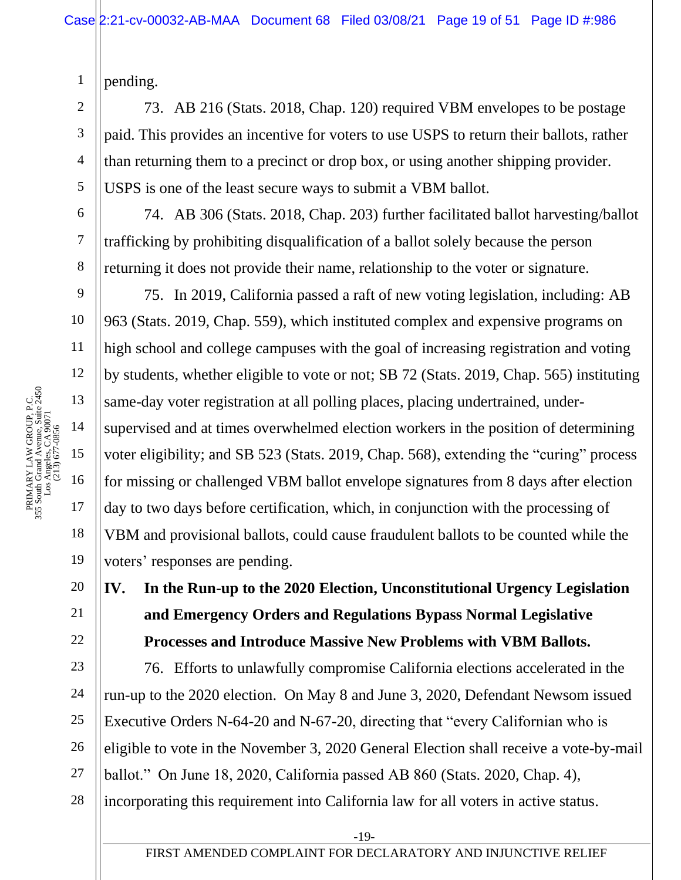pending.

1

2

3

4

5

6

7

8

9

10

11

12

18

19

20

21

22

73. AB 216 (Stats. 2018, Chap. 120) required VBM envelopes to be postage paid. This provides an incentive for voters to use USPS to return their ballots, rather than returning them to a precinct or drop box, or using another shipping provider. USPS is one of the least secure ways to submit a VBM ballot.

74. AB 306 (Stats. 2018, Chap. 203) further facilitated ballot harvesting/ballot trafficking by prohibiting disqualification of a ballot solely because the person returning it does not provide their name, relationship to the voter or signature.

75. In 2019, California passed a raft of new voting legislation, including: AB 963 (Stats. 2019, Chap. 559), which instituted complex and expensive programs on high school and college campuses with the goal of increasing registration and voting by students, whether eligible to vote or not; SB 72 (Stats. 2019, Chap. 565) instituting same-day voter registration at all polling places, placing undertrained, undersupervised and at times overwhelmed election workers in the position of determining voter eligibility; and SB 523 (Stats. 2019, Chap. 568), extending the "curing" process for missing or challenged VBM ballot envelope signatures from 8 days after election day to two days before certification, which, in conjunction with the processing of VBM and provisional ballots, could cause fraudulent ballots to be counted while the voters' responses are pending.

# **IV. In the Run-up to the 2020 Election, Unconstitutional Urgency Legislation and Emergency Orders and Regulations Bypass Normal Legislative Processes and Introduce Massive New Problems with VBM Ballots.**

23 24 25 26 27 28 76. Efforts to unlawfully compromise California elections accelerated in the run-up to the 2020 election. On May 8 and June 3, 2020, Defendant Newsom issued Executive Orders N-64-20 and N-67-20, directing that "every Californian who is eligible to vote in the November 3, 2020 General Election shall receive a vote-by-mail ballot." On June 18, 2020, California passed AB 860 (Stats. 2020, Chap. 4), incorporating this requirement into California law for all voters in active status.

-19-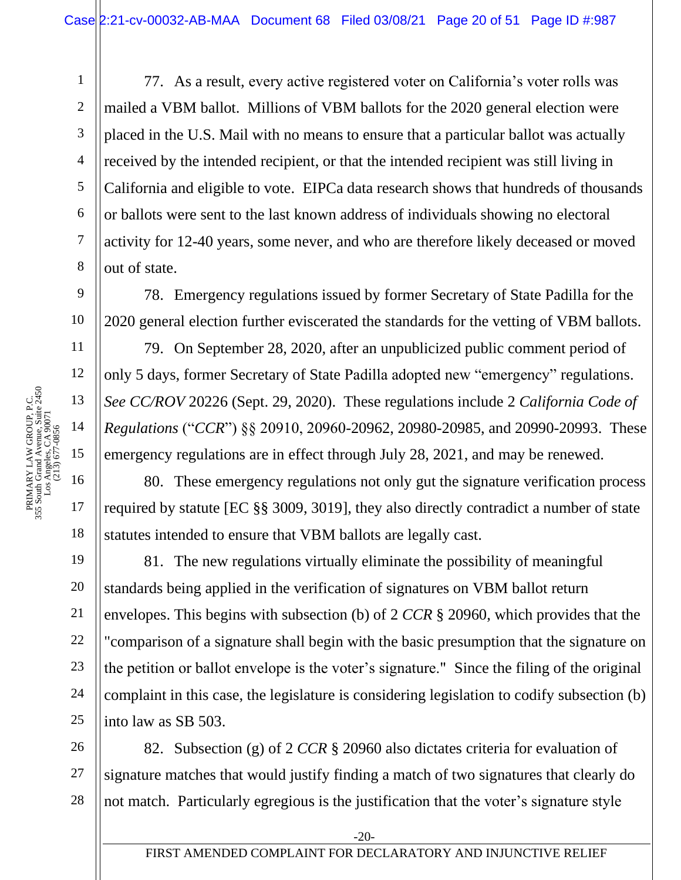77. As a result, every active registered voter on California's voter rolls was mailed a VBM ballot. Millions of VBM ballots for the 2020 general election were placed in the U.S. Mail with no means to ensure that a particular ballot was actually received by the intended recipient, or that the intended recipient was still living in California and eligible to vote. EIPCa data research shows that hundreds of thousands or ballots were sent to the last known address of individuals showing no electoral activity for 12-40 years, some never, and who are therefore likely deceased or moved out of state.

78. Emergency regulations issued by former Secretary of State Padilla for the 2020 general election further eviscerated the standards for the vetting of VBM ballots.

79. On September 28, 2020, after an unpublicized public comment period of only 5 days, former Secretary of State Padilla adopted new "emergency" regulations. *See CC/ROV* 20226 (Sept. 29, 2020). These regulations include 2 *California Code of Regulations* ("*CCR*") §§ 20910, 20960-20962, 20980-20985, and 20990-20993. These emergency regulations are in effect through July 28, 2021, and may be renewed.

80. These emergency regulations not only gut the signature verification process required by statute [EC §§ 3009, 3019], they also directly contradict a number of state statutes intended to ensure that VBM ballots are legally cast.

81. The new regulations virtually eliminate the possibility of meaningful standards being applied in the verification of signatures on VBM ballot return envelopes. This begins with subsection (b) of 2 *CCR* § 20960, which provides that the "comparison of a signature shall begin with the basic presumption that the signature on the petition or ballot envelope is the voter's signature." Since the filing of the original complaint in this case, the legislature is considering legislation to codify subsection (b) into law as SB 503.

26 27 28 82. Subsection (g) of 2 *CCR* § 20960 also dictates criteria for evaluation of signature matches that would justify finding a match of two signatures that clearly do not match. Particularly egregious is the justification that the voter's signature style

1

2

3

4

5

6

7

8

9

10

11

18

19

20

21

22

23

24

25

-20-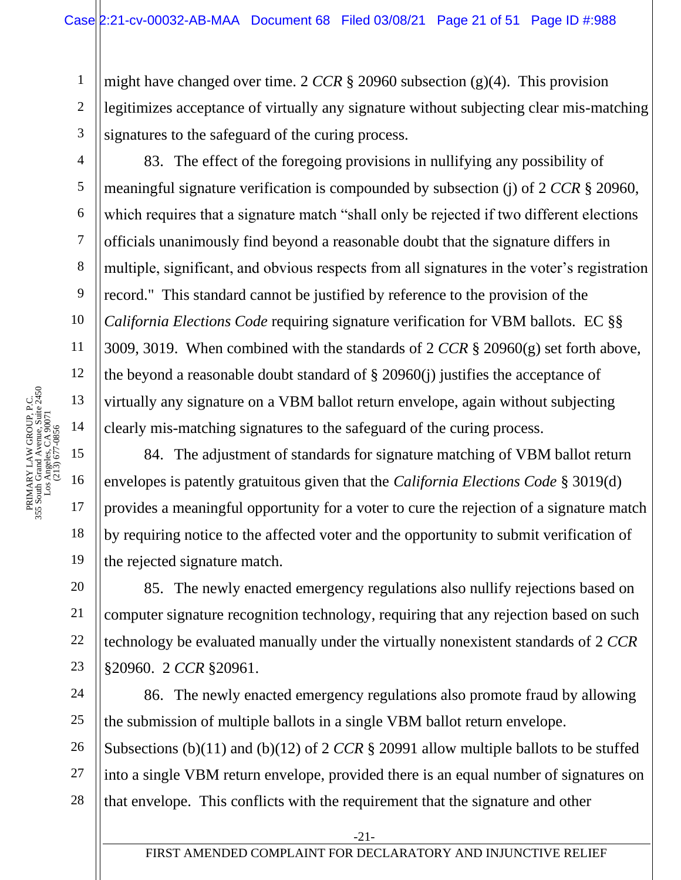1 2 3 might have changed over time. 2 *CCR* § 20960 subsection (g)(4). This provision legitimizes acceptance of virtually any signature without subjecting clear mis-matching signatures to the safeguard of the curing process.

83. The effect of the foregoing provisions in nullifying any possibility of meaningful signature verification is compounded by subsection (j) of 2 *CCR* § 20960, which requires that a signature match "shall only be rejected if two different elections officials unanimously find beyond a reasonable doubt that the signature differs in multiple, significant, and obvious respects from all signatures in the voter's registration record." This standard cannot be justified by reference to the provision of the *California Elections Code* requiring signature verification for VBM ballots. EC §§ 3009, 3019. When combined with the standards of 2 *CCR* § 20960(g) set forth above, the beyond a reasonable doubt standard of  $\S$  20960(j) justifies the acceptance of virtually any signature on a VBM ballot return envelope, again without subjecting clearly mis-matching signatures to the safeguard of the curing process.

84. The adjustment of standards for signature matching of VBM ballot return envelopes is patently gratuitous given that the *California Elections Code* § 3019(d) provides a meaningful opportunity for a voter to cure the rejection of a signature match by requiring notice to the affected voter and the opportunity to submit verification of the rejected signature match.

85. The newly enacted emergency regulations also nullify rejections based on computer signature recognition technology, requiring that any rejection based on such technology be evaluated manually under the virtually nonexistent standards of 2 *CCR* §20960. 2 *CCR* §20961.

86. The newly enacted emergency regulations also promote fraud by allowing the submission of multiple ballots in a single VBM ballot return envelope.

26 27 28 Subsections (b)(11) and (b)(12) of 2 *CCR* § 20991 allow multiple ballots to be stuffed into a single VBM return envelope, provided there is an equal number of signatures on that envelope. This conflicts with the requirement that the signature and other

4

5

6

7

8

9

10

11

18

19

20

21

22

23

24

25

-21-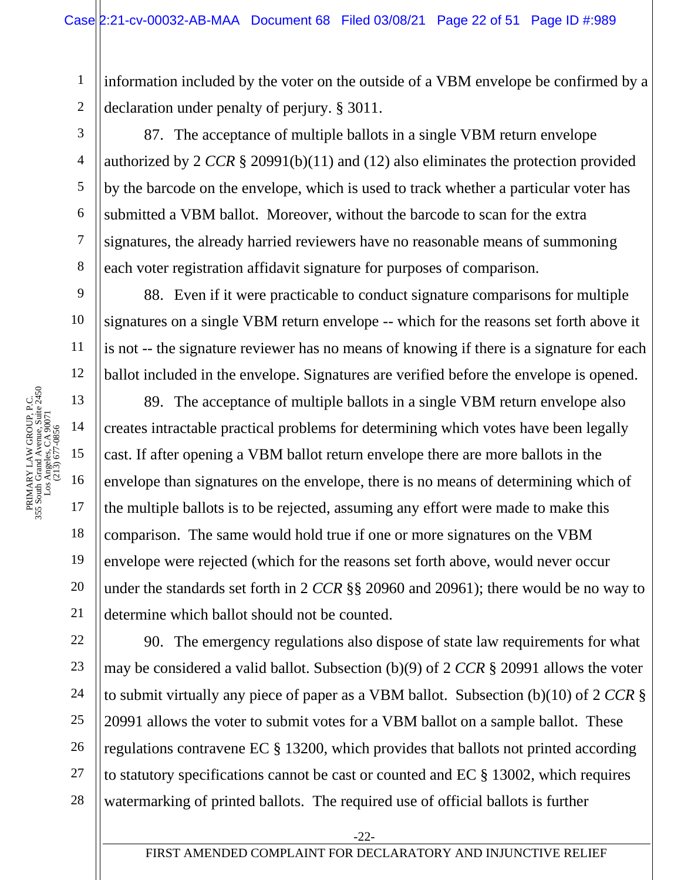1 2 information included by the voter on the outside of a VBM envelope be confirmed by a declaration under penalty of perjury. § 3011.

87. The acceptance of multiple ballots in a single VBM return envelope authorized by 2 *CCR* § 20991(b)(11) and (12) also eliminates the protection provided by the barcode on the envelope, which is used to track whether a particular voter has submitted a VBM ballot. Moreover, without the barcode to scan for the extra signatures, the already harried reviewers have no reasonable means of summoning each voter registration affidavit signature for purposes of comparison.

88. Even if it were practicable to conduct signature comparisons for multiple signatures on a single VBM return envelope -- which for the reasons set forth above it is not -- the signature reviewer has no means of knowing if there is a signature for each ballot included in the envelope. Signatures are verified before the envelope is opened.

89. The acceptance of multiple ballots in a single VBM return envelope also creates intractable practical problems for determining which votes have been legally cast. If after opening a VBM ballot return envelope there are more ballots in the envelope than signatures on the envelope, there is no means of determining which of the multiple ballots is to be rejected, assuming any effort were made to make this comparison. The same would hold true if one or more signatures on the VBM envelope were rejected (which for the reasons set forth above, would never occur under the standards set forth in 2 *CCR* §§ 20960 and 20961); there would be no way to determine which ballot should not be counted.

22 23 24 25 26 27 28 90. The emergency regulations also dispose of state law requirements for what may be considered a valid ballot. Subsection (b)(9) of 2 *CCR* § 20991 allows the voter to submit virtually any piece of paper as a VBM ballot. Subsection (b)(10) of 2 *CCR* § 20991 allows the voter to submit votes for a VBM ballot on a sample ballot. These regulations contravene EC § 13200, which provides that ballots not printed according to statutory specifications cannot be cast or counted and EC § 13002, which requires watermarking of printed ballots. The required use of official ballots is further

3

4

5

6

7

8

9

10

11

12

18

19

20

21

-22-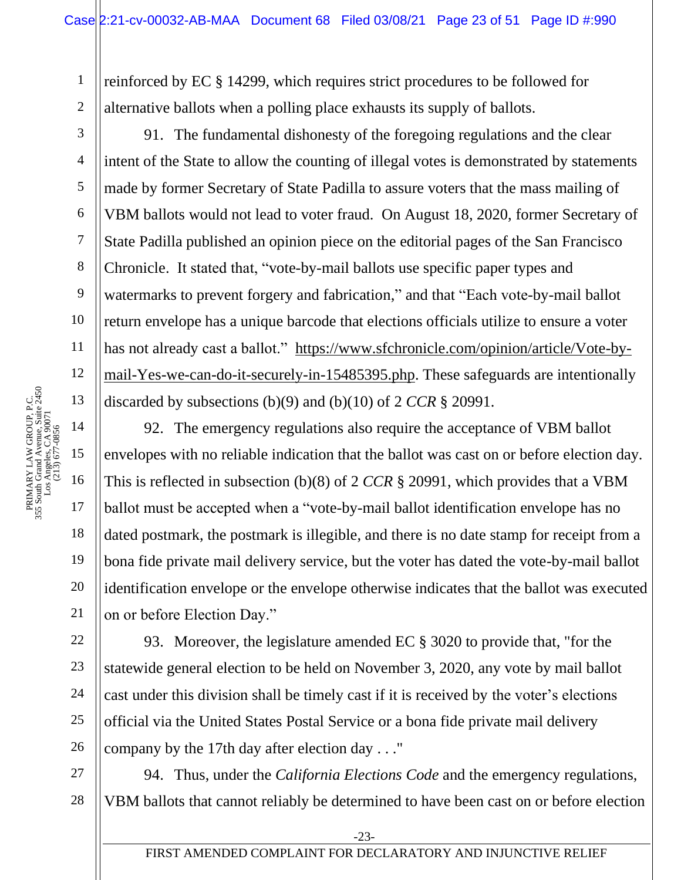1 reinforced by EC § 14299, which requires strict procedures to be followed for alternative ballots when a polling place exhausts its supply of ballots.

2 3

4

5

6

7

8

9

10

11

12

18

19

20

21

22

23

24

25

26

91. The fundamental dishonesty of the foregoing regulations and the clear intent of the State to allow the counting of illegal votes is demonstrated by statements made by former Secretary of State Padilla to assure voters that the mass mailing of VBM ballots would not lead to voter fraud. On August 18, 2020, former Secretary of State Padilla published an opinion piece on the editorial pages of the San Francisco Chronicle. It stated that, "vote-by-mail ballots use specific paper types and watermarks to prevent forgery and fabrication," and that "Each vote-by-mail ballot return envelope has a unique barcode that elections officials utilize to ensure a voter has not already cast a ballot." [https://www.sfchronicle.com/opinion/article/Vote-by](https://www.sfchronicle.com/opinion/article/Vote-by-mail-Yes-we-can-do-it-securely-in-15485395.php)[mail-Yes-we-can-do-it-securely-in-15485395.php.](https://www.sfchronicle.com/opinion/article/Vote-by-mail-Yes-we-can-do-it-securely-in-15485395.php) These safeguards are intentionally discarded by subsections (b)(9) and (b)(10) of 2 *CCR* § 20991.

92. The emergency regulations also require the acceptance of VBM ballot envelopes with no reliable indication that the ballot was cast on or before election day. This is reflected in subsection (b)(8) of 2 *CCR* § 20991, which provides that a VBM ballot must be accepted when a "vote-by-mail ballot identification envelope has no dated postmark, the postmark is illegible, and there is no date stamp for receipt from a bona fide private mail delivery service, but the voter has dated the vote-by-mail ballot identification envelope or the envelope otherwise indicates that the ballot was executed on or before Election Day."

93. Moreover, the legislature amended EC § 3020 to provide that, "for the statewide general election to be held on November 3, 2020, any vote by mail ballot cast under this division shall be timely cast if it is received by the voter's elections official via the United States Postal Service or a bona fide private mail delivery company by the 17th day after election day . . ."

27 28 94. Thus, under the *California Elections Code* and the emergency regulations, VBM ballots that cannot reliably be determined to have been cast on or before election

-23-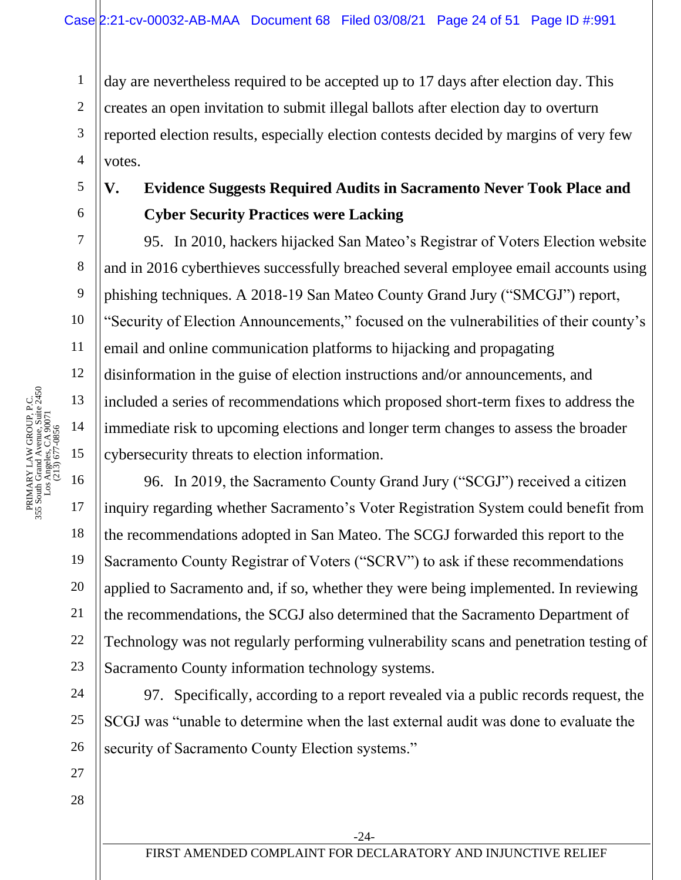1 2 3 4 day are nevertheless required to be accepted up to 17 days after election day. This creates an open invitation to submit illegal ballots after election day to overturn reported election results, especially election contests decided by margins of very few votes.

## **V. Evidence Suggests Required Audits in Sacramento Never Took Place and Cyber Security Practices were Lacking**

95. In 2010, hackers hijacked San Mateo's Registrar of Voters Election website and in 2016 cyberthieves successfully breached several employee email accounts using phishing techniques. A 2018-19 San Mateo County Grand Jury ("SMCGJ") report, "Security of Election Announcements," focused on the vulnerabilities of their county's email and online communication platforms to hijacking and propagating disinformation in the guise of election instructions and/or announcements, and included a series of recommendations which proposed short-term fixes to address the immediate risk to upcoming elections and longer term changes to assess the broader cybersecurity threats to election information.

96. In 2019, the Sacramento County Grand Jury ("SCGJ") received a citizen inquiry regarding whether Sacramento's Voter Registration System could benefit from the recommendations adopted in San Mateo. The SCGJ forwarded this report to the Sacramento County Registrar of Voters ("SCRV") to ask if these recommendations applied to Sacramento and, if so, whether they were being implemented. In reviewing the recommendations, the SCGJ also determined that the Sacramento Department of Technology was not regularly performing vulnerability scans and penetration testing of Sacramento County information technology systems.

97. Specifically, according to a report revealed via a public records request, the SCGJ was "unable to determine when the last external audit was done to evaluate the security of Sacramento County Election systems."

5

6

7

8

9

10

11

12

18

19

20

21

22

23

24

25

26

27

28

-24-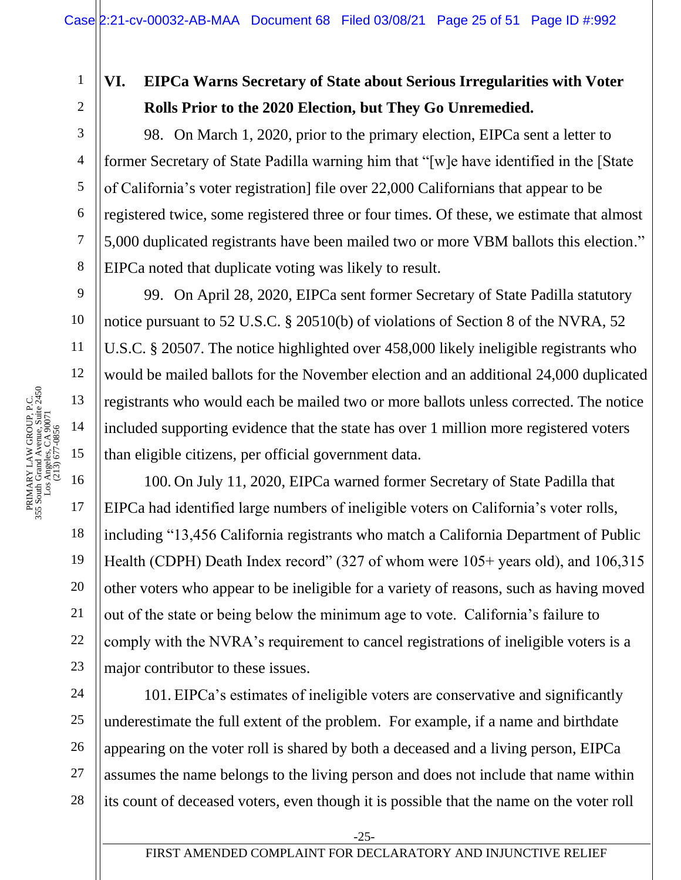2 3 4

5

6

7

8

9

10

11

12

18

19

20

21

22

23

1

# **VI. EIPCa Warns Secretary of State about Serious Irregularities with Voter Rolls Prior to the 2020 Election, but They Go Unremedied.**

98. On March 1, 2020, prior to the primary election, EIPCa sent a letter to former Secretary of State Padilla warning him that "[w]e have identified in the [State of California's voter registration] file over 22,000 Californians that appear to be registered twice, some registered three or four times. Of these, we estimate that almost 5,000 duplicated registrants have been mailed two or more VBM ballots this election." EIPCa noted that duplicate voting was likely to result.

99. On April 28, 2020, EIPCa sent former Secretary of State Padilla statutory notice pursuant to 52 U.S.C. § 20510(b) of violations of Section 8 of the NVRA, 52 U.S.C. § 20507. The notice highlighted over 458,000 likely ineligible registrants who would be mailed ballots for the November election and an additional 24,000 duplicated registrants who would each be mailed two or more ballots unless corrected. The notice included supporting evidence that the state has over 1 million more registered voters than eligible citizens, per official government data.

100. On July 11, 2020, EIPCa warned former Secretary of State Padilla that EIPCa had identified large numbers of ineligible voters on California's voter rolls, including "13,456 California registrants who match a California Department of Public Health (CDPH) Death Index record" (327 of whom were 105+ years old), and 106,315 other voters who appear to be ineligible for a variety of reasons, such as having moved out of the state or being below the minimum age to vote. California's failure to comply with the NVRA's requirement to cancel registrations of ineligible voters is a major contributor to these issues.

24 25 26 27 28 101. EIPCa's estimates of ineligible voters are conservative and significantly underestimate the full extent of the problem. For example, if a name and birthdate appearing on the voter roll is shared by both a deceased and a living person, EIPCa assumes the name belongs to the living person and does not include that name within its count of deceased voters, even though it is possible that the name on the voter roll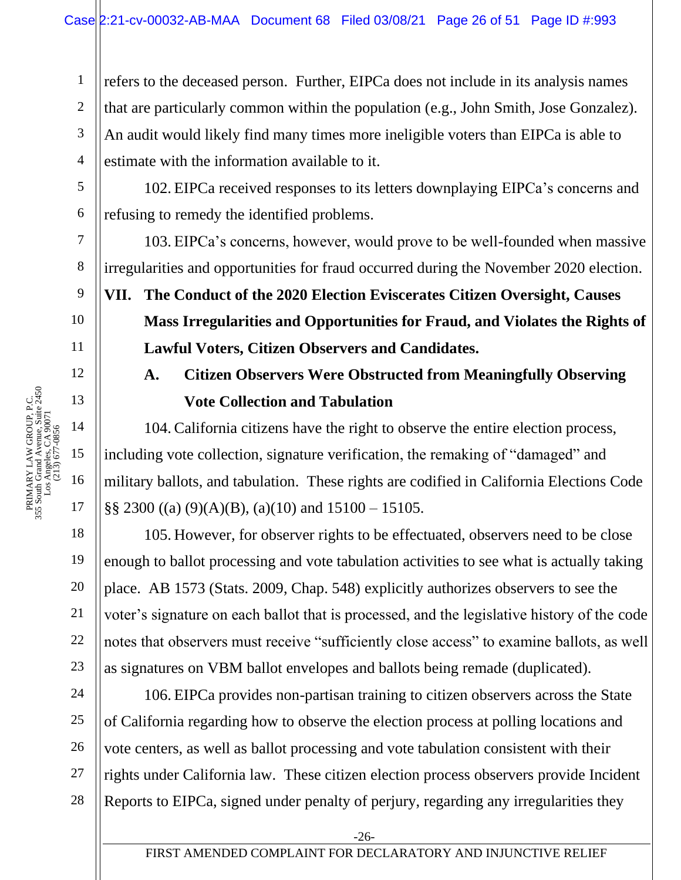refers to the deceased person. Further, EIPCa does not include in its analysis names that are particularly common within the population (e.g., John Smith, Jose Gonzalez). An audit would likely find many times more ineligible voters than EIPCa is able to estimate with the information available to it.

102. EIPCa received responses to its letters downplaying EIPCa's concerns and refusing to remedy the identified problems.

103. EIPCa's concerns, however, would prove to be well-founded when massive irregularities and opportunities for fraud occurred during the November 2020 election.

**VII. The Conduct of the 2020 Election Eviscerates Citizen Oversight, Causes Mass Irregularities and Opportunities for Fraud, and Violates the Rights of Lawful Voters, Citizen Observers and Candidates.**

# **A. Citizen Observers Were Obstructed from Meaningfully Observing Vote Collection and Tabulation**

104. California citizens have the right to observe the entire election process, including vote collection, signature verification, the remaking of "damaged" and military ballots, and tabulation. These rights are codified in California Elections Code  $\S$ § 2300 ((a) (9)(A)(B), (a)(10) and 15100 – 15105.

105. However, for observer rights to be effectuated, observers need to be close enough to ballot processing and vote tabulation activities to see what is actually taking place. AB 1573 (Stats. 2009, Chap. 548) explicitly authorizes observers to see the voter's signature on each ballot that is processed, and the legislative history of the code notes that observers must receive "sufficiently close access" to examine ballots, as well as signatures on VBM ballot envelopes and ballots being remade (duplicated).

106. EIPCa provides non-partisan training to citizen observers across the State of California regarding how to observe the election process at polling locations and vote centers, as well as ballot processing and vote tabulation consistent with their rights under California law. These citizen election process observers provide Incident Reports to EIPCa, signed under penalty of perjury, regarding any irregularities they

1

2

3

4

5

6

7

8

9

10

11

12

18

19

20

21

22

23

24

25

26

27

-26-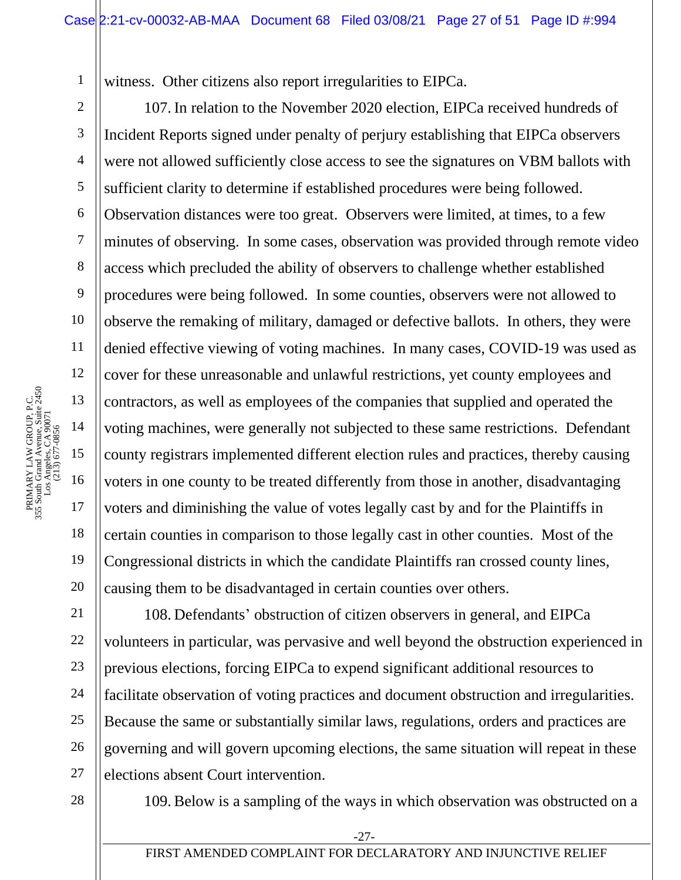witness. Other citizens also report irregularities to EIPCa.

2 3 4 5 6 7 8 9 10 11 12 13 14 15 16 17 18 19 20 107. In relation to the November 2020 election, EIPCa received hundreds of Incident Reports signed under penalty of perjury establishing that EIPCa observers were not allowed sufficiently close access to see the signatures on VBM ballots with sufficient clarity to determine if established procedures were being followed. Observation distances were too great. Observers were limited, at times, to a few minutes of observing. In some cases, observation was provided through remote video access which precluded the ability of observers to challenge whether established procedures were being followed. In some counties, observers were not allowed to observe the remaking of military, damaged or defective ballots. In others, they were denied effective viewing of voting machines. In many cases, COVID-19 was used as cover for these unreasonable and unlawful restrictions, yet county employees and contractors, as well as employees of the companies that supplied and operated the voting machines, were generally not subjected to these same restrictions. Defendant county registrars implemented different election rules and practices, thereby causing voters in one county to be treated differently from those in another, disadvantaging voters and diminishing the value of votes legally cast by and for the Plaintiffs in certain counties in comparison to those legally cast in other counties. Most of the Congressional districts in which the candidate Plaintiffs ran crossed county lines, causing them to be disadvantaged in certain counties over others.

108. Defendants' obstruction of citizen observers in general, and EIPCa volunteers in particular, was pervasive and well beyond the obstruction experienced in previous elections, forcing EIPCa to expend significant additional resources to facilitate observation of voting practices and document obstruction and irregularities. Because the same or substantially similar laws, regulations, orders and practices are governing and will govern upcoming elections, the same situation will repeat in these elections absent Court intervention.

28

21

22

23

24

25

26

27

109. Below is a sampling of the ways in which observation was obstructed on a

FIRST AMENDED COMPLAINT FOR DECLARATORY AND INJUNCTIVE RELIEF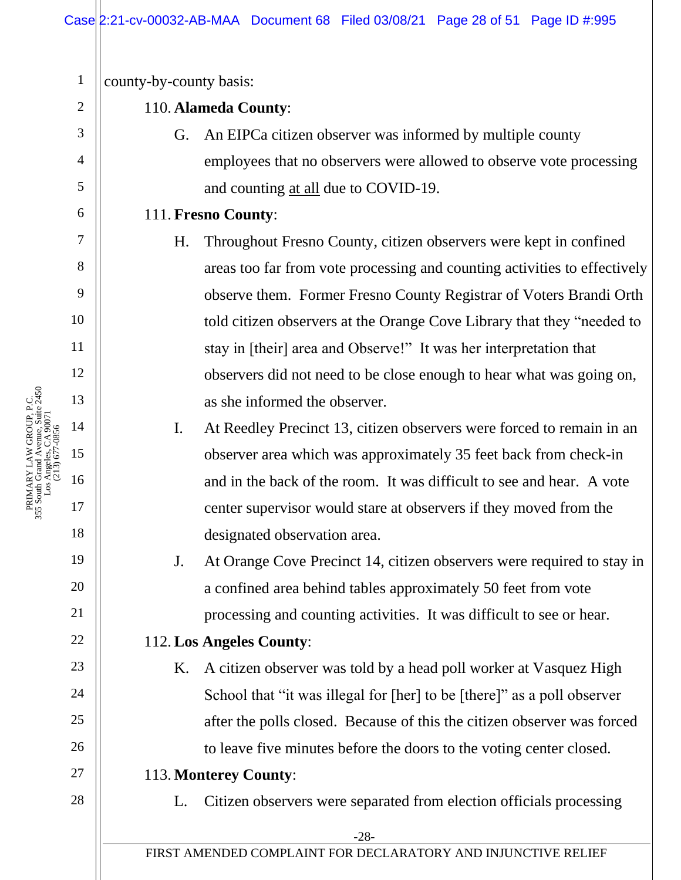1 county-by-county basis: 2 110. **Alameda County**: 3 G. An EIPCa citizen observer was informed by multiple county employees that no observers were allowed to observe vote processing 4 5 and counting at all due to COVID-19. 6 111. **Fresno County**: 7 H. Throughout Fresno County, citizen observers were kept in confined 8 areas too far from vote processing and counting activities to effectively 9 observe them. Former Fresno County Registrar of Voters Brandi Orth 10 told citizen observers at the Orange Cove Library that they "needed to 11 stay in [their] area and Observe!" It was her interpretation that 12 observers did not need to be close enough to hear what was going on, 13 as she informed the observer. 14 I. At Reedley Precinct 13, citizen observers were forced to remain in an (213) 677-0856 15 observer area which was approximately 35 feet back from check-in 16 and in the back of the room. It was difficult to see and hear. A vote center supervisor would stare at observers if they moved from the 17 18 designated observation area. 19 J. At Orange Cove Precinct 14, citizen observers were required to stay in 20 a confined area behind tables approximately 50 feet from vote 21 processing and counting activities. It was difficult to see or hear. 22 112. **Los Angeles County**: 23 K. A citizen observer was told by a head poll worker at Vasquez High 24 School that "it was illegal for [her] to be [there]" as a poll observer 25 after the polls closed. Because of this the citizen observer was forced 26 to leave five minutes before the doors to the voting center closed. 27 113. **Monterey County**: 28 L. Citizen observers were separated from election officials processing -28- FIRST AMENDED COMPLAINT FOR DECLARATORY AND INJUNCTIVE RELIEF

PRIMARY LAW GROUP, P.C. 355 South Grand Avenue, Suite 2450 Los Angeles, CA 90071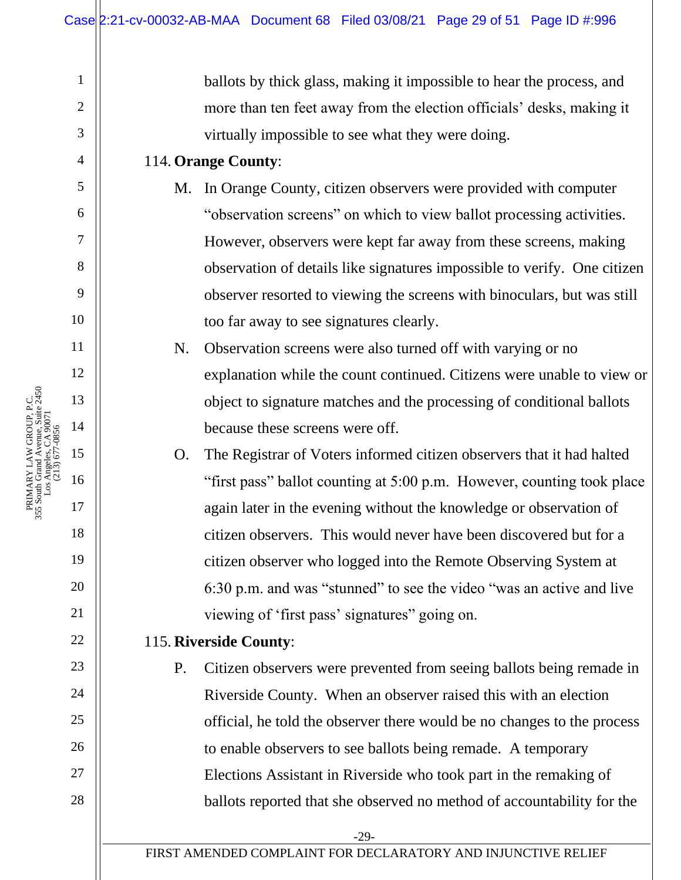ballots by thick glass, making it impossible to hear the process, and more than ten feet away from the election officials' desks, making it virtually impossible to see what they were doing.

### 114. **Orange County**:

- M. In Orange County, citizen observers were provided with computer "observation screens" on which to view ballot processing activities. However, observers were kept far away from these screens, making observation of details like signatures impossible to verify. One citizen observer resorted to viewing the screens with binoculars, but was still too far away to see signatures clearly.
- N. Observation screens were also turned off with varying or no explanation while the count continued. Citizens were unable to view or object to signature matches and the processing of conditional ballots because these screens were off.

O. The Registrar of Voters informed citizen observers that it had halted "first pass" ballot counting at 5:00 p.m. However, counting took place again later in the evening without the knowledge or observation of citizen observers. This would never have been discovered but for a citizen observer who logged into the Remote Observing System at 6:30 p.m. and was "stunned" to see the video "was an active and live viewing of 'first pass' signatures" going on.

## 115. **Riverside County**:

P. Citizen observers were prevented from seeing ballots being remade in Riverside County. When an observer raised this with an election official, he told the observer there would be no changes to the process to enable observers to see ballots being remade. A temporary Elections Assistant in Riverside who took part in the remaking of ballots reported that she observed no method of accountability for the

1

2

3

4

5

6

7

8

9

10

11

12

13

14

15

16

17

18

19

20

21

22

23

24

25

26

27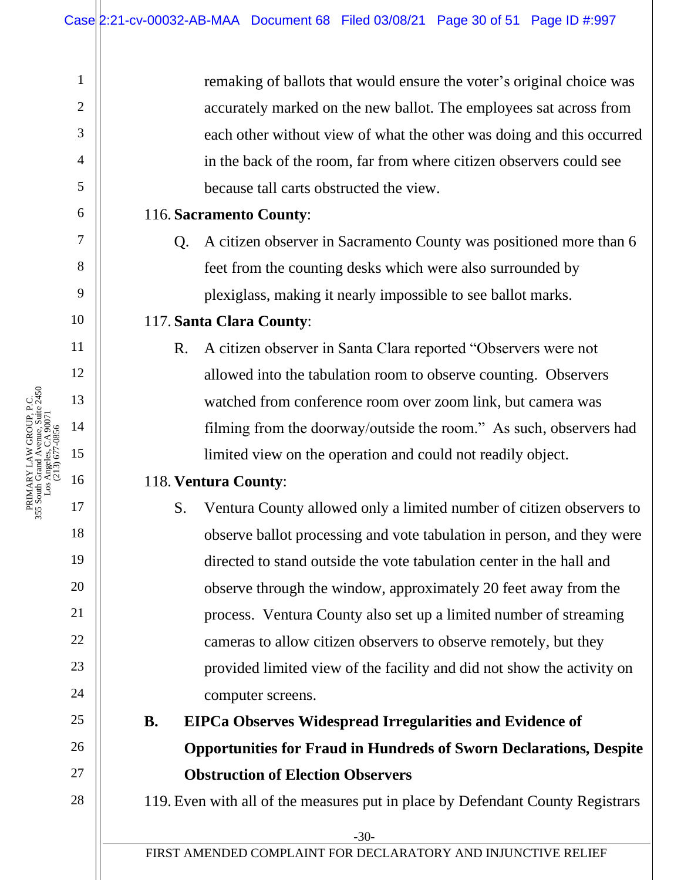-30- FIRST AMENDED COMPLAINT FOR DECLARATORY AND INJUNCTIVE RELIEF 1 2 3 4 5 6 7 8 9 10 11 12 13 14 15 16 17 18 19 20 21 22 23 24 25 26 27 28 remaking of ballots that would ensure the voter's original choice was accurately marked on the new ballot. The employees sat across from each other without view of what the other was doing and this occurred in the back of the room, far from where citizen observers could see because tall carts obstructed the view. 116. **Sacramento County**: Q. A citizen observer in Sacramento County was positioned more than 6 feet from the counting desks which were also surrounded by plexiglass, making it nearly impossible to see ballot marks. 117. **Santa Clara County**: R. A citizen observer in Santa Clara reported "Observers were not allowed into the tabulation room to observe counting. Observers watched from conference room over zoom link, but camera was filming from the doorway/outside the room." As such, observers had limited view on the operation and could not readily object. 118. **Ventura County**: S. Ventura County allowed only a limited number of citizen observers to observe ballot processing and vote tabulation in person, and they were directed to stand outside the vote tabulation center in the hall and observe through the window, approximately 20 feet away from the process. Ventura County also set up a limited number of streaming cameras to allow citizen observers to observe remotely, but they provided limited view of the facility and did not show the activity on computer screens. **B. EIPCa Observes Widespread Irregularities and Evidence of Opportunities for Fraud in Hundreds of Sworn Declarations, Despite Obstruction of Election Observers** 119. Even with all of the measures put in place by Defendant County Registrars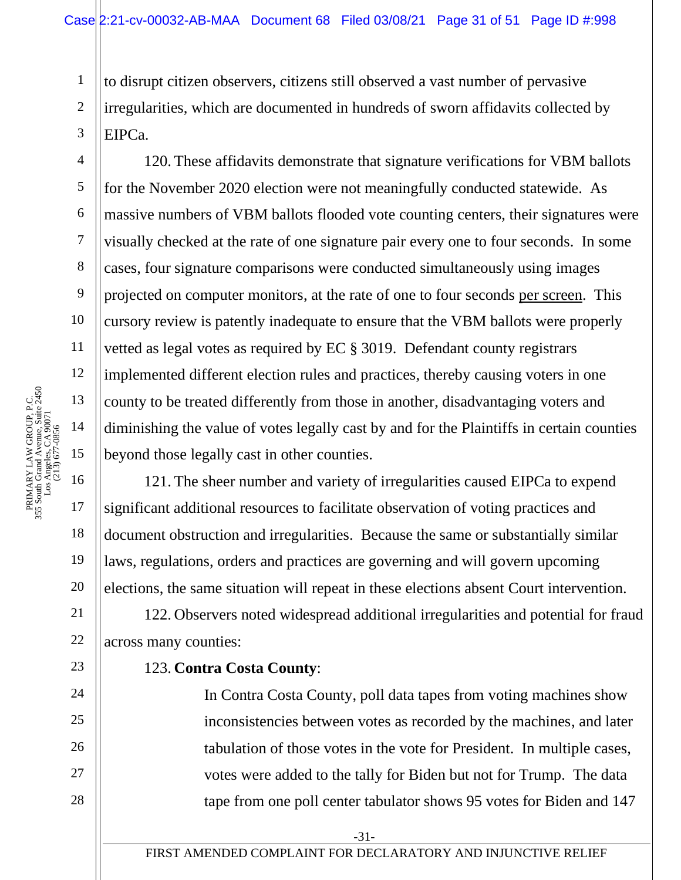to disrupt citizen observers, citizens still observed a vast number of pervasive irregularities, which are documented in hundreds of sworn affidavits collected by EIPCa.

120. These affidavits demonstrate that signature verifications for VBM ballots for the November 2020 election were not meaningfully conducted statewide. As massive numbers of VBM ballots flooded vote counting centers, their signatures were visually checked at the rate of one signature pair every one to four seconds. In some cases, four signature comparisons were conducted simultaneously using images projected on computer monitors, at the rate of one to four seconds per screen. This cursory review is patently inadequate to ensure that the VBM ballots were properly vetted as legal votes as required by EC § 3019. Defendant county registrars implemented different election rules and practices, thereby causing voters in one county to be treated differently from those in another, disadvantaging voters and diminishing the value of votes legally cast by and for the Plaintiffs in certain counties beyond those legally cast in other counties.

121. The sheer number and variety of irregularities caused EIPCa to expend significant additional resources to facilitate observation of voting practices and document obstruction and irregularities. Because the same or substantially similar laws, regulations, orders and practices are governing and will govern upcoming elections, the same situation will repeat in these elections absent Court intervention.

122. Observers noted widespread additional irregularities and potential for fraud across many counties:

## 123. **Contra Costa County**:

In Contra Costa County, poll data tapes from voting machines show inconsistencies between votes as recorded by the machines, and later tabulation of those votes in the vote for President. In multiple cases, votes were added to the tally for Biden but not for Trump. The data tape from one poll center tabulator shows 95 votes for Biden and 147

1

2

3

4

5

6

7

8

9

10

11

12

18

19

20

21

22

23

24

25

26

27

28

FIRST AMENDED COMPLAINT FOR DECLARATORY AND INJUNCTIVE RELIEF

-31-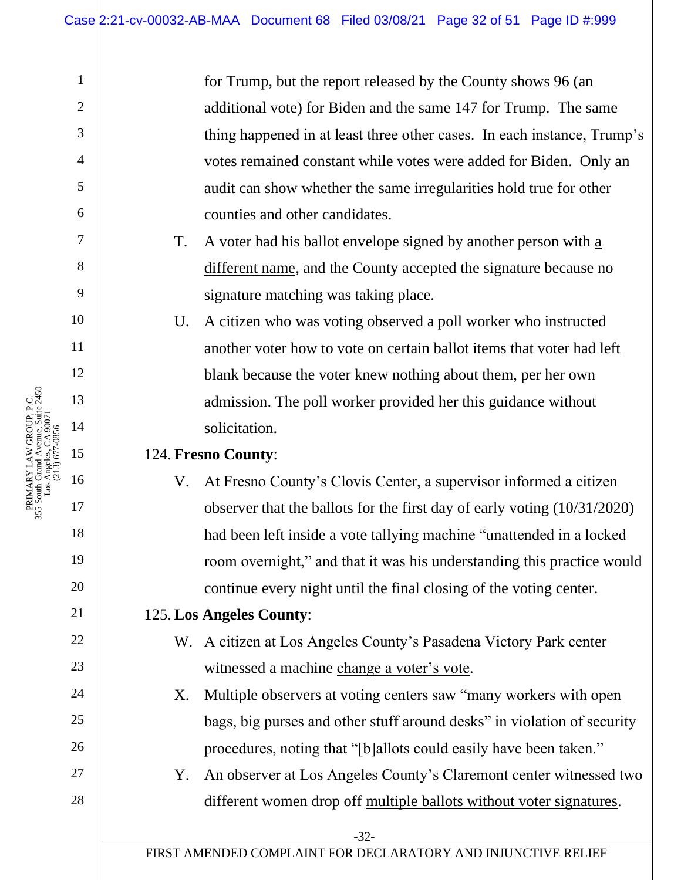for Trump, but the report released by the County shows 96 (an additional vote) for Biden and the same 147 for Trump. The same thing happened in at least three other cases. In each instance, Trump's votes remained constant while votes were added for Biden. Only an audit can show whether the same irregularities hold true for other counties and other candidates.

T. A voter had his ballot envelope signed by another person with a different name, and the County accepted the signature because no signature matching was taking place.

U. A citizen who was voting observed a poll worker who instructed another voter how to vote on certain ballot items that voter had left blank because the voter knew nothing about them, per her own admission. The poll worker provided her this guidance without solicitation.

### 124. **Fresno County**:

V. At Fresno County's Clovis Center, a supervisor informed a citizen observer that the ballots for the first day of early voting (10/31/2020) had been left inside a vote tallying machine "unattended in a locked room overnight," and that it was his understanding this practice would continue every night until the final closing of the voting center.

## 125. **Los Angeles County**:

W. A citizen at Los Angeles County's Pasadena Victory Park center witnessed a machine change a voter's vote.

X. Multiple observers at voting centers saw "many workers with open bags, big purses and other stuff around desks" in violation of security procedures, noting that "[b]allots could easily have been taken."

Y. An observer at Los Angeles County's Claremont center witnessed two different women drop off multiple ballots without voter signatures.

FIRST AMENDED COMPLAINT FOR DECLARATORY AND INJUNCTIVE RELIEF

1

2

3

4

5

6

7

8

9

10

11

12

13

14

15

16

17

18

19

20

21

22

23

24

25

26

27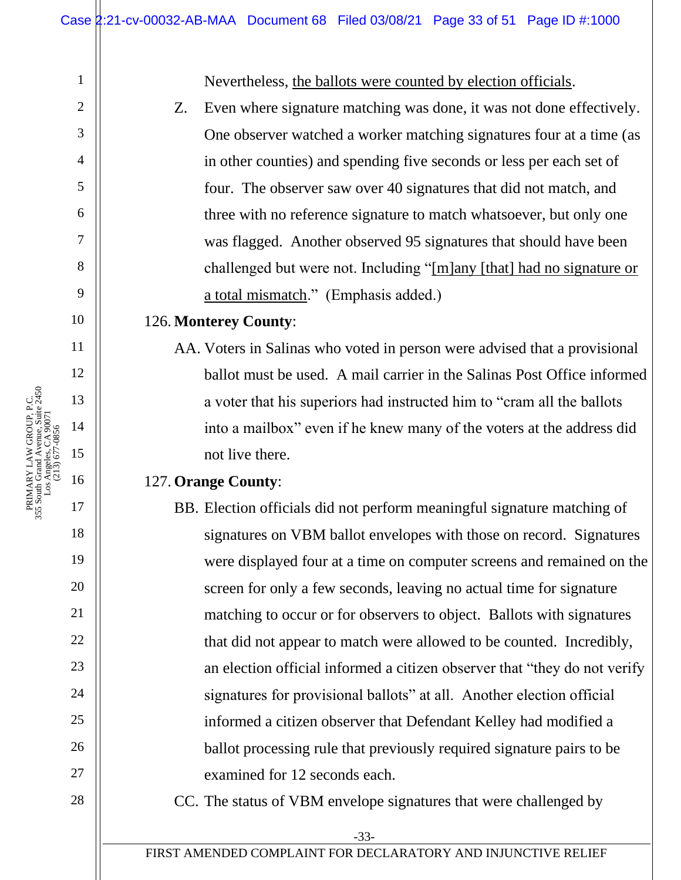Nevertheless, the ballots were counted by election officials.

Z. Even where signature matching was done, it was not done effectively. One observer watched a worker matching signatures four at a time (as in other counties) and spending five seconds or less per each set of four. The observer saw over 40 signatures that did not match, and three with no reference signature to match whatsoever, but only one was flagged. Another observed 95 signatures that should have been challenged but were not. Including "[m]any [that] had no signature or a total mismatch." (Emphasis added.)

#### 126. **Monterey County**:

AA. Voters in Salinas who voted in person were advised that a provisional ballot must be used. A mail carrier in the Salinas Post Office informed a voter that his superiors had instructed him to "cram all the ballots into a mailbox" even if he knew many of the voters at the address did not live there.

### 127. **Orange County**:

- BB. Election officials did not perform meaningful signature matching of signatures on VBM ballot envelopes with those on record. Signatures were displayed four at a time on computer screens and remained on the screen for only a few seconds, leaving no actual time for signature matching to occur or for observers to object. Ballots with signatures that did not appear to match were allowed to be counted. Incredibly, an election official informed a citizen observer that "they do not verify signatures for provisional ballots" at all. Another election official informed a citizen observer that Defendant Kelley had modified a ballot processing rule that previously required signature pairs to be examined for 12 seconds each.
- CC. The status of VBM envelope signatures that were challenged by

FIRST AMENDED COMPLAINT FOR DECLARATORY AND INJUNCTIVE RELIEF

1

2

3

4

5

6

7

8

9

10

11

12

13

14

15

16

17

18

19

20

21

22

23

24

25

26

27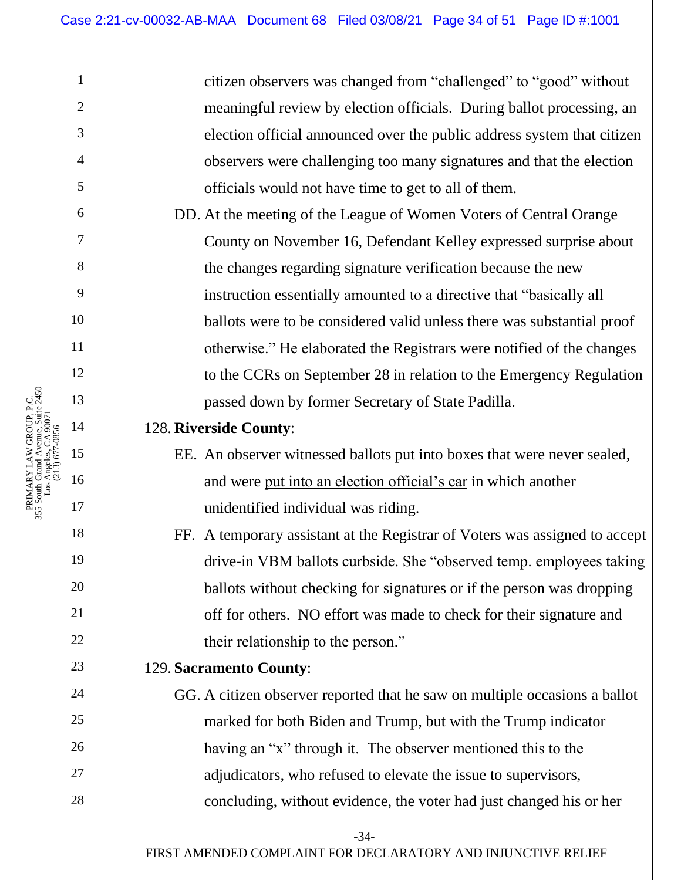citizen observers was changed from "challenged" to "good" without meaningful review by election officials. During ballot processing, an election official announced over the public address system that citizen observers were challenging too many signatures and that the election officials would not have time to get to all of them.

DD. At the meeting of the League of Women Voters of Central Orange County on November 16, Defendant Kelley expressed surprise about the changes regarding signature verification because the new instruction essentially amounted to a directive that "basically all ballots were to be considered valid unless there was substantial proof otherwise." He elaborated the Registrars were notified of the changes to the CCRs on September 28 in relation to the Emergency Regulation passed down by former Secretary of State Padilla.

### 128. **Riverside County**:

EE. An observer witnessed ballots put into boxes that were never sealed, and were put into an election official's car in which another unidentified individual was riding.

FF. A temporary assistant at the Registrar of Voters was assigned to accept drive-in VBM ballots curbside. She "observed temp. employees taking ballots without checking for signatures or if the person was dropping off for others. NO effort was made to check for their signature and their relationship to the person."

## 129. **Sacramento County**:

GG. A citizen observer reported that he saw on multiple occasions a ballot marked for both Biden and Trump, but with the Trump indicator having an "x" through it. The observer mentioned this to the adjudicators, who refused to elevate the issue to supervisors, concluding, without evidence, the voter had just changed his or her

1

2

3

4

5

6

7

8

9

10

11

12

13

14

15

16

17

18

19

20

21

22

23

24

25

26

27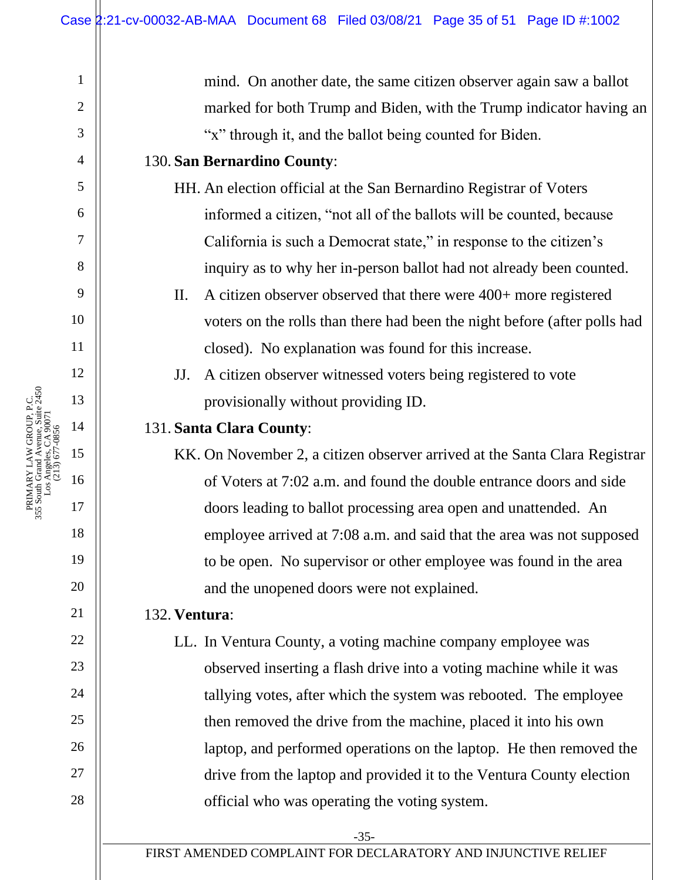mind. On another date, the same citizen observer again saw a ballot marked for both Trump and Biden, with the Trump indicator having an "x" through it, and the ballot being counted for Biden.

### 130. **San Bernardino County**:

- HH. An election official at the San Bernardino Registrar of Voters informed a citizen, "not all of the ballots will be counted, because California is such a Democrat state," in response to the citizen's inquiry as to why her in-person ballot had not already been counted.
- II. A citizen observer observed that there were 400+ more registered voters on the rolls than there had been the night before (after polls had closed). No explanation was found for this increase.
- JJ. A citizen observer witnessed voters being registered to vote provisionally without providing ID.

## 131. **Santa Clara County**:

KK. On November 2, a citizen observer arrived at the Santa Clara Registrar of Voters at 7:02 a.m. and found the double entrance doors and side doors leading to ballot processing area open and unattended. An employee arrived at 7:08 a.m. and said that the area was not supposed to be open. No supervisor or other employee was found in the area and the unopened doors were not explained.

## 132. **Ventura**:

LL. In Ventura County, a voting machine company employee was observed inserting a flash drive into a voting machine while it was tallying votes, after which the system was rebooted. The employee then removed the drive from the machine, placed it into his own laptop, and performed operations on the laptop. He then removed the drive from the laptop and provided it to the Ventura County election official who was operating the voting system.

1

2

3

4

5

6

7

8

9

10

11

12

13

14

15

16

17

18

19

20

21

22

23

24

25

26

27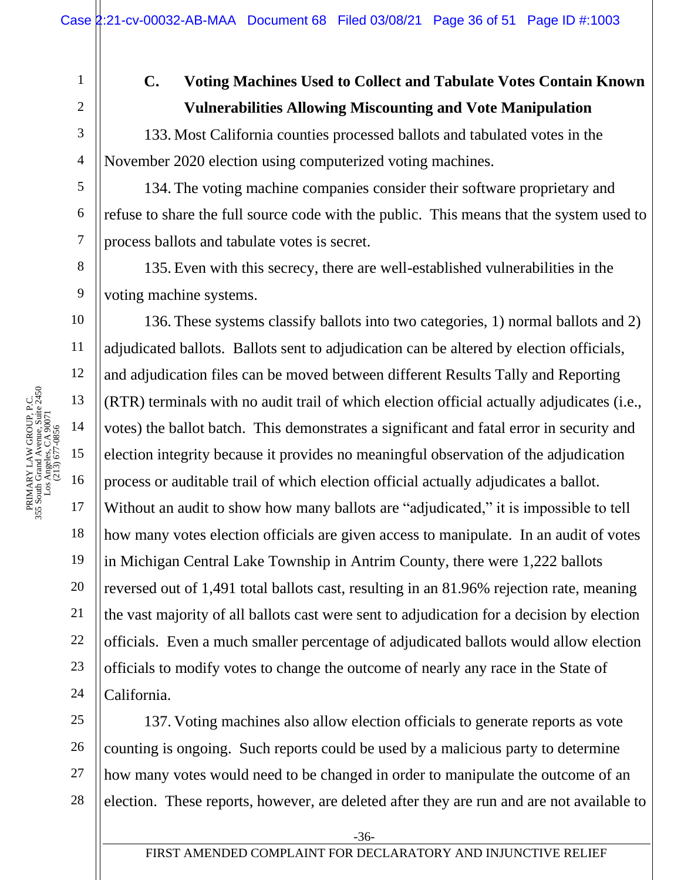# **C. Voting Machines Used to Collect and Tabulate Votes Contain Known Vulnerabilities Allowing Miscounting and Vote Manipulation**

133. Most California counties processed ballots and tabulated votes in the November 2020 election using computerized voting machines.

134. The voting machine companies consider their software proprietary and refuse to share the full source code with the public. This means that the system used to process ballots and tabulate votes is secret.

135. Even with this secrecy, there are well-established vulnerabilities in the voting machine systems.

136. These systems classify ballots into two categories, 1) normal ballots and 2) adjudicated ballots. Ballots sent to adjudication can be altered by election officials, and adjudication files can be moved between different Results Tally and Reporting (RTR) terminals with no audit trail of which election official actually adjudicates (i.e., votes) the ballot batch. This demonstrates a significant and fatal error in security and election integrity because it provides no meaningful observation of the adjudication process or auditable trail of which election official actually adjudicates a ballot. Without an audit to show how many ballots are "adjudicated," it is impossible to tell how many votes election officials are given access to manipulate. In an audit of votes in Michigan Central Lake Township in Antrim County, there were 1,222 ballots reversed out of 1,491 total ballots cast, resulting in an 81.96% rejection rate, meaning the vast majority of all ballots cast were sent to adjudication for a decision by election officials. Even a much smaller percentage of adjudicated ballots would allow election officials to modify votes to change the outcome of nearly any race in the State of California.

25 26 27 28 137. Voting machines also allow election officials to generate reports as vote counting is ongoing. Such reports could be used by a malicious party to determine how many votes would need to be changed in order to manipulate the outcome of an election. These reports, however, are deleted after they are run and are not available to

1

2

3

4

5

6

7

8

9

10

11

12

18

19

20

21

22

23

24

-36-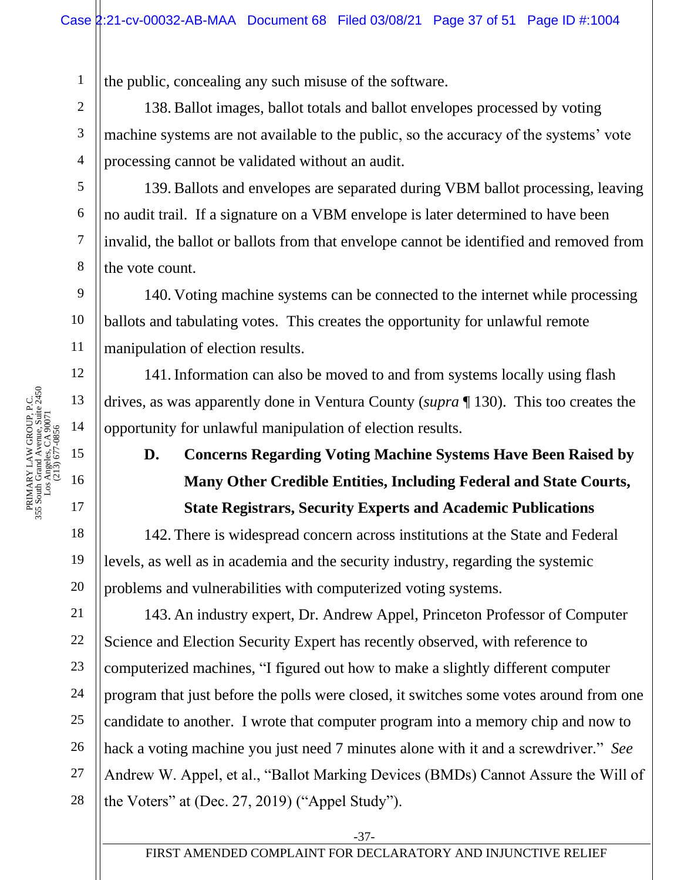the public, concealing any such misuse of the software.

138. Ballot images, ballot totals and ballot envelopes processed by voting machine systems are not available to the public, so the accuracy of the systems' vote processing cannot be validated without an audit.

139. Ballots and envelopes are separated during VBM ballot processing, leaving no audit trail. If a signature on a VBM envelope is later determined to have been invalid, the ballot or ballots from that envelope cannot be identified and removed from the vote count.

140. Voting machine systems can be connected to the internet while processing ballots and tabulating votes. This creates the opportunity for unlawful remote manipulation of election results.

141. Information can also be moved to and from systems locally using flash drives, as was apparently done in Ventura County (*supra* ¶ 130). This too creates the opportunity for unlawful manipulation of election results.

# **D. Concerns Regarding Voting Machine Systems Have Been Raised by Many Other Credible Entities, Including Federal and State Courts, State Registrars, Security Experts and Academic Publications**

142. There is widespread concern across institutions at the State and Federal levels, as well as in academia and the security industry, regarding the systemic problems and vulnerabilities with computerized voting systems.

24 26 28 143. An industry expert, Dr. Andrew Appel, Princeton Professor of Computer Science and Election Security Expert has recently observed, with reference to computerized machines, "I figured out how to make a slightly different computer program that just before the polls were closed, it switches some votes around from one candidate to another. I wrote that computer program into a memory chip and now to hack a voting machine you just need 7 minutes alone with it and a screwdriver." *See* Andrew W. Appel, et al., "Ballot Marking Devices (BMDs) Cannot Assure the Will of the Voters" at (Dec. 27, 2019) ("Appel Study").

1

2

3

4

5

6

7

8

9

10

11

12

18

19

20

21

22

23

25

27

-37-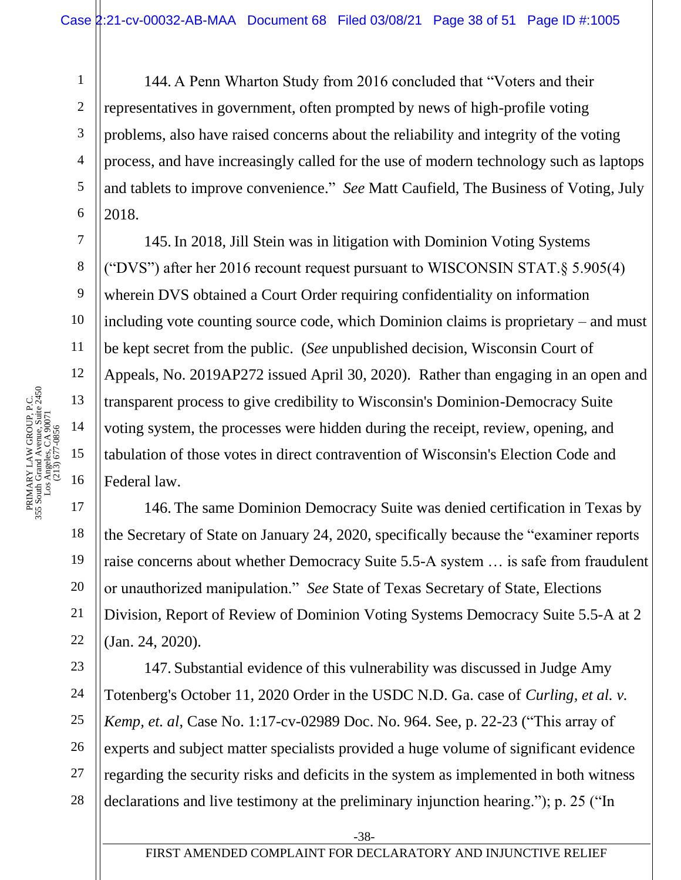144. A Penn Wharton Study from 2016 concluded that "Voters and their representatives in government, often prompted by news of high-profile voting problems, also have raised concerns about the reliability and integrity of the voting process, and have increasingly called for the use of modern technology such as laptops and tablets to improve convenience." *See* Matt Caufield, The Business of Voting, July 2018.

145. In 2018, Jill Stein was in litigation with Dominion Voting Systems ("DVS") after her 2016 recount request pursuant to WISCONSIN STAT.§ 5.905(4) wherein DVS obtained a Court Order requiring confidentiality on information including vote counting source code, which Dominion claims is proprietary – and must be kept secret from the public. (*See* unpublished decision, Wisconsin Court of Appeals, No. 2019AP272 issued April 30, 2020). Rather than engaging in an open and transparent process to give credibility to Wisconsin's Dominion-Democracy Suite voting system, the processes were hidden during the receipt, review, opening, and tabulation of those votes in direct contravention of Wisconsin's Election Code and Federal law.

146. The same Dominion Democracy Suite was denied certification in Texas by the Secretary of State on January 24, 2020, specifically because the "examiner reports raise concerns about whether Democracy Suite 5.5-A system … is safe from fraudulent or unauthorized manipulation." *See* State of Texas Secretary of State, Elections Division, Report of Review of Dominion Voting Systems Democracy Suite 5.5-A at 2 (Jan. 24, 2020).

24 28 147. Substantial evidence of this vulnerability was discussed in Judge Amy Totenberg's October 11, 2020 Order in the USDC N.D. Ga. case of *Curling, et al. v. Kemp, et. al*, Case No. 1:17-cv-02989 Doc. No. 964. See, p. 22-23 ("This array of experts and subject matter specialists provided a huge volume of significant evidence regarding the security risks and deficits in the system as implemented in both witness declarations and live testimony at the preliminary injunction hearing."); p. 25 ("In

1

2

3

4

5

6

7

8

9

10

11

18

19

20

21

22

23

25

26

27

-38-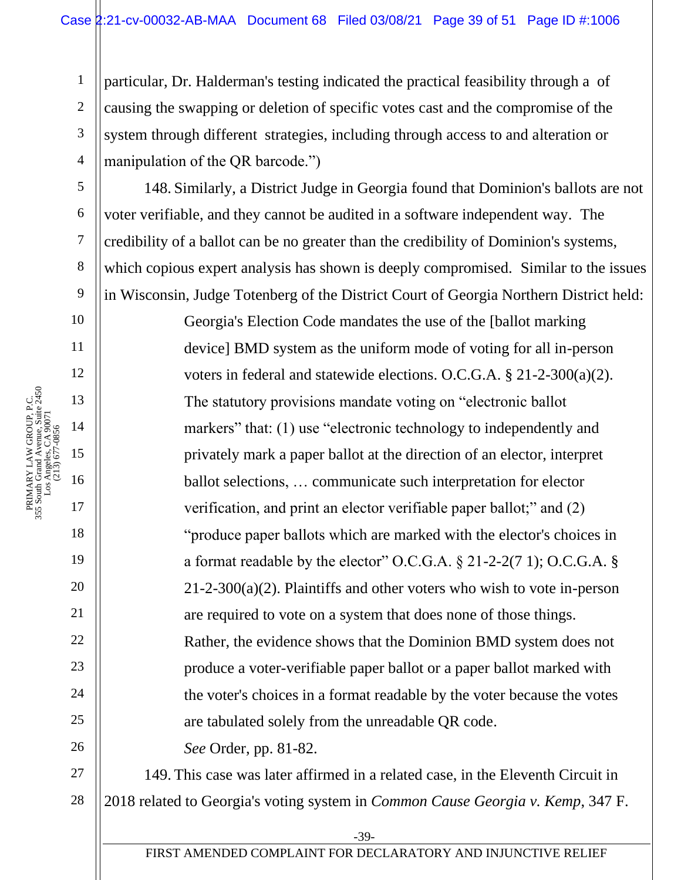particular, Dr. Halderman's testing indicated the practical feasibility through a of causing the swapping or deletion of specific votes cast and the compromise of the system through different strategies, including through access to and alteration or manipulation of the QR barcode.")

148. Similarly, a District Judge in Georgia found that Dominion's ballots are not voter verifiable, and they cannot be audited in a software independent way. The credibility of a ballot can be no greater than the credibility of Dominion's systems, which copious expert analysis has shown is deeply compromised. Similar to the issues in Wisconsin, Judge Totenberg of the District Court of Georgia Northern District held:

Georgia's Election Code mandates the use of the [ballot marking device] BMD system as the uniform mode of voting for all in-person voters in federal and statewide elections. O.C.G.A. § 21-2-300(a)(2). The statutory provisions mandate voting on "electronic ballot markers" that: (1) use "electronic technology to independently and privately mark a paper ballot at the direction of an elector, interpret ballot selections, … communicate such interpretation for elector verification, and print an elector verifiable paper ballot;" and (2) "produce paper ballots which are marked with the elector's choices in a format readable by the elector" O.C.G.A. § 21-2-2(7 1); O.C.G.A. § 21-2-300(a)(2). Plaintiffs and other voters who wish to vote in-person are required to vote on a system that does none of those things. Rather, the evidence shows that the Dominion BMD system does not produce a voter-verifiable paper ballot or a paper ballot marked with the voter's choices in a format readable by the voter because the votes are tabulated solely from the unreadable QR code.

*See* Order, pp. 81-82.

27 28 149. This case was later affirmed in a related case, in the Eleventh Circuit in 2018 related to Georgia's voting system in *Common Cause Georgia v. Kemp*, 347 F.

1

2

3

4

5

6

7

8

9

10

11

12

13

14

15

16

17

18

19

20

21

22

23

24

25

26

-39-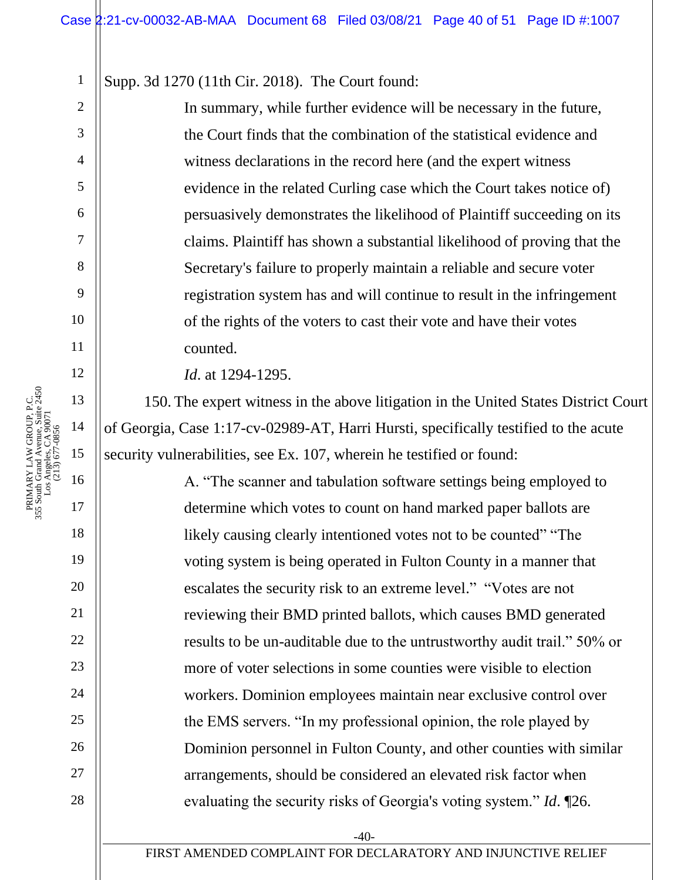Supp. 3d 1270 (11th Cir. 2018). The Court found:

In summary, while further evidence will be necessary in the future, the Court finds that the combination of the statistical evidence and witness declarations in the record here (and the expert witness evidence in the related Curling case which the Court takes notice of) persuasively demonstrates the likelihood of Plaintiff succeeding on its claims. Plaintiff has shown a substantial likelihood of proving that the Secretary's failure to properly maintain a reliable and secure voter registration system has and will continue to result in the infringement of the rights of the voters to cast their vote and have their votes counted.

*Id*. at 1294-1295.

150. The expert witness in the above litigation in the United States District Court of Georgia, Case 1:17-cv-02989-AT, Harri Hursti, specifically testified to the acute security vulnerabilities, see Ex. 107, wherein he testified or found:

A. "The scanner and tabulation software settings being employed to determine which votes to count on hand marked paper ballots are likely causing clearly intentioned votes not to be counted" "The voting system is being operated in Fulton County in a manner that escalates the security risk to an extreme level." "Votes are not reviewing their BMD printed ballots, which causes BMD generated results to be un-auditable due to the untrustworthy audit trail." 50% or more of voter selections in some counties were visible to election workers. Dominion employees maintain near exclusive control over the EMS servers. "In my professional opinion, the role played by Dominion personnel in Fulton County, and other counties with similar arrangements, should be considered an elevated risk factor when evaluating the security risks of Georgia's voting system." *Id*. ¶26.

FIRST AMENDED COMPLAINT FOR DECLARATORY AND INJUNCTIVE RELIEF

1

2

3

4

5

6

7

8

9

10

11

12

14

18

19

20

21

22

23

24

25

26

27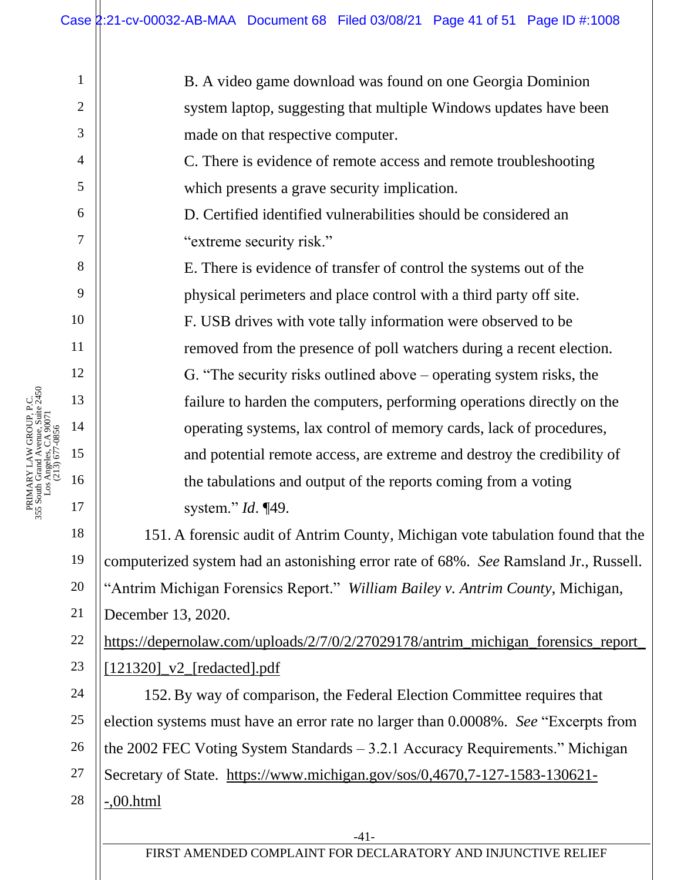B. A video game download was found on one Georgia Dominion system laptop, suggesting that multiple Windows updates have been made on that respective computer.

C. There is evidence of remote access and remote troubleshooting which presents a grave security implication.

D. Certified identified vulnerabilities should be considered an "extreme security risk."

E. There is evidence of transfer of control the systems out of the physical perimeters and place control with a third party off site. F. USB drives with vote tally information were observed to be removed from the presence of poll watchers during a recent election. G. "The security risks outlined above – operating system risks, the failure to harden the computers, performing operations directly on the operating systems, lax control of memory cards, lack of procedures, and potential remote access, are extreme and destroy the credibility of the tabulations and output of the reports coming from a voting system." *Id*. ¶49.

151. A forensic audit of Antrim County, Michigan vote tabulation found that the computerized system had an astonishing error rate of 68%. *See* Ramsland Jr., Russell. "Antrim Michigan Forensics Report." *William Bailey v. Antrim County*, Michigan, December 13, 2020.

[https://depernolaw.com/uploads/2/7/0/2/27029178/antrim\\_michigan\\_forensics\\_report\\_](https://depernolaw.com/uploads/2/7/0/2/27029178/antrim_michigan_forensics_report_%5b121320%5d_v2_%5bredacted%5d.pdf) [\[121320\]\\_v2\\_\[redacted\].pdf](https://depernolaw.com/uploads/2/7/0/2/27029178/antrim_michigan_forensics_report_%5b121320%5d_v2_%5bredacted%5d.pdf)

152. By way of comparison, the Federal Election Committee requires that election systems must have an error rate no larger than 0.0008%. *See* "Excerpts from the 2002 FEC Voting System Standards – 3.2.1 Accuracy Requirements." Michigan Secretary of State. [https://www.michigan.gov/sos/0,4670,7-127-1583-130621-](https://www.michigan.gov/sos/0,4670,7-127-1583-130621--,00.html) [-,00.html](https://www.michigan.gov/sos/0,4670,7-127-1583-130621--,00.html)

1

2

3

4

5

6

7

8

9

10

11

12

13

14

15

16

17

18

19

20

21

22

23

24

25

26

27

28

-41-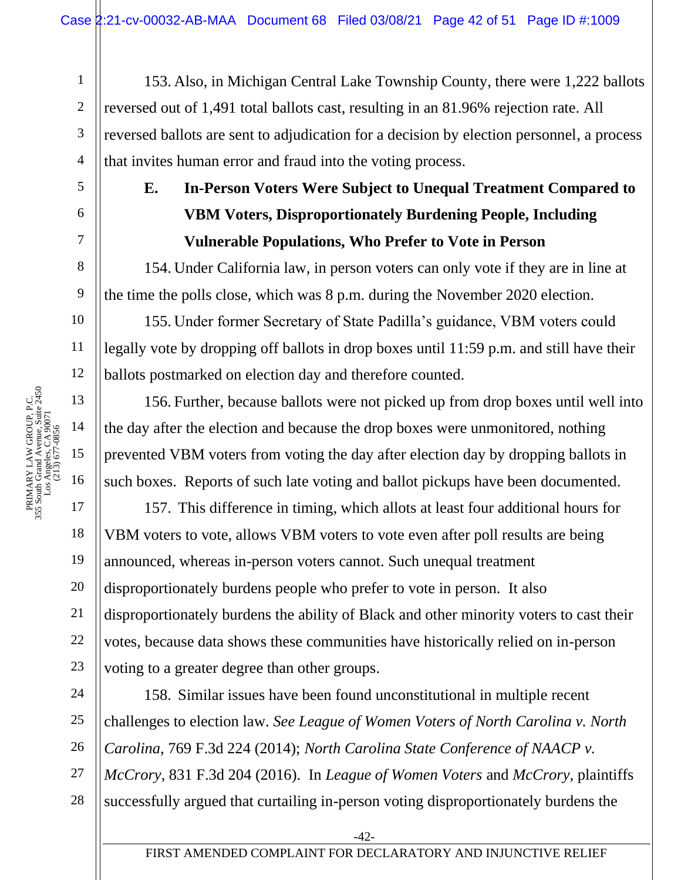153. Also, in Michigan Central Lake Township County, there were 1,222 ballots reversed out of 1,491 total ballots cast, resulting in an 81.96% rejection rate. All reversed ballots are sent to adjudication for a decision by election personnel, a process that invites human error and fraud into the voting process.

# **E. In-Person Voters Were Subject to Unequal Treatment Compared to VBM Voters, Disproportionately Burdening People, Including Vulnerable Populations, Who Prefer to Vote in Person**

154. Under California law, in person voters can only vote if they are in line at the time the polls close, which was 8 p.m. during the November 2020 election.

155. Under former Secretary of State Padilla's guidance, VBM voters could legally vote by dropping off ballots in drop boxes until 11:59 p.m. and still have their ballots postmarked on election day and therefore counted.

156. Further, because ballots were not picked up from drop boxes until well into the day after the election and because the drop boxes were unmonitored, nothing prevented VBM voters from voting the day after election day by dropping ballots in such boxes. Reports of such late voting and ballot pickups have been documented.

157. This difference in timing, which allots at least four additional hours for VBM voters to vote, allows VBM voters to vote even after poll results are being announced, whereas in-person voters cannot. Such unequal treatment disproportionately burdens people who prefer to vote in person. It also disproportionately burdens the ability of Black and other minority voters to cast their votes, because data shows these communities have historically relied on in-person voting to a greater degree than other groups.

24 25 26 27 28 158. Similar issues have been found unconstitutional in multiple recent challenges to election law. *See League of Women Voters of North Carolina v. North Carolina*, 769 F.3d 224 (2014); *North Carolina State Conference of NAACP v. McCrory*, 831 F.3d 204 (2016). In *League of Women Voters* and *McCrory,* plaintiffs successfully argued that curtailing in-person voting disproportionately burdens the

1

2

3

4

5

6

7

8

9

10

11

12

18

19

20

21

22

23

-42-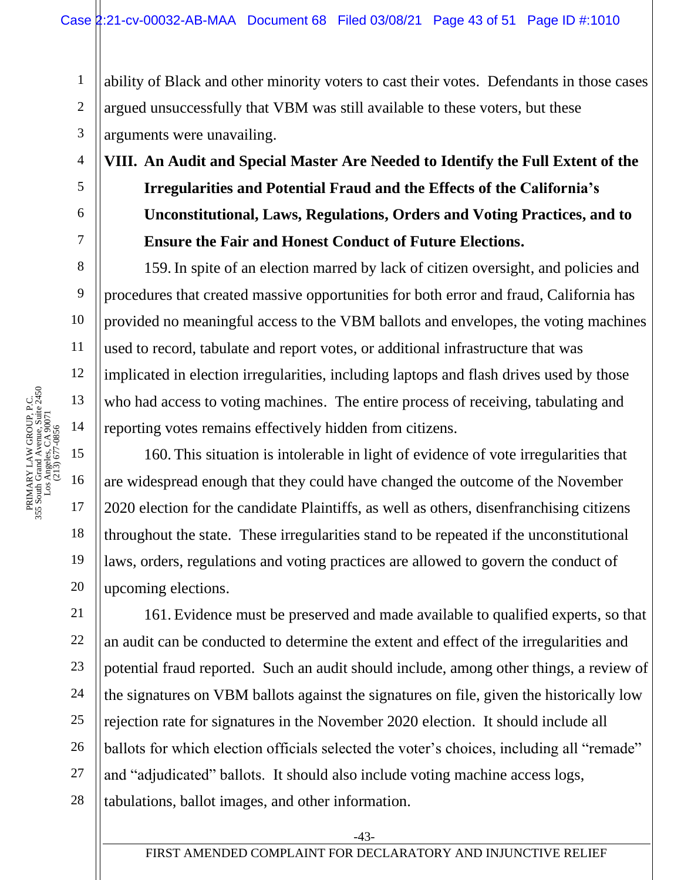ability of Black and other minority voters to cast their votes. Defendants in those cases argued unsuccessfully that VBM was still available to these voters, but these arguments were unavailing.

**VIII. An Audit and Special Master Are Needed to Identify the Full Extent of the Irregularities and Potential Fraud and the Effects of the California's Unconstitutional, Laws, Regulations, Orders and Voting Practices, and to Ensure the Fair and Honest Conduct of Future Elections.**

159. In spite of an election marred by lack of citizen oversight, and policies and procedures that created massive opportunities for both error and fraud, California has provided no meaningful access to the VBM ballots and envelopes, the voting machines used to record, tabulate and report votes, or additional infrastructure that was implicated in election irregularities, including laptops and flash drives used by those who had access to voting machines. The entire process of receiving, tabulating and reporting votes remains effectively hidden from citizens.

160. This situation is intolerable in light of evidence of vote irregularities that are widespread enough that they could have changed the outcome of the November 2020 election for the candidate Plaintiffs, as well as others, disenfranchising citizens throughout the state. These irregularities stand to be repeated if the unconstitutional laws, orders, regulations and voting practices are allowed to govern the conduct of upcoming elections.

24 25 26 28 161. Evidence must be preserved and made available to qualified experts, so that an audit can be conducted to determine the extent and effect of the irregularities and potential fraud reported. Such an audit should include, among other things, a review of the signatures on VBM ballots against the signatures on file, given the historically low rejection rate for signatures in the November 2020 election. It should include all ballots for which election officials selected the voter's choices, including all "remade" and "adjudicated" ballots. It should also include voting machine access logs, tabulations, ballot images, and other information.

1

2

3

4

5

6

7

8

9

10

11

12

18

19

20

21

22

23

27

-43-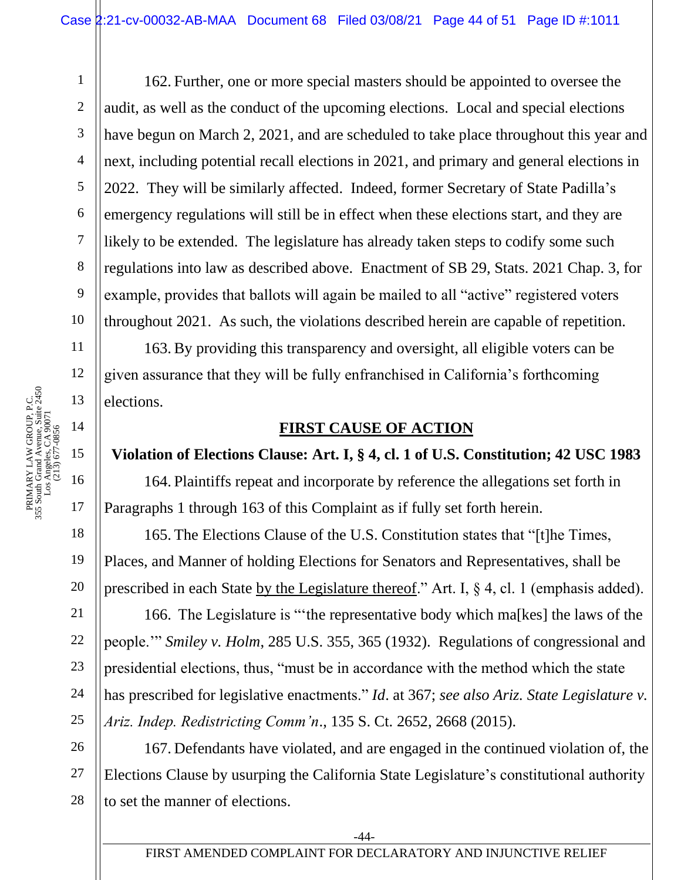6 10 162. Further, one or more special masters should be appointed to oversee the audit, as well as the conduct of the upcoming elections. Local and special elections have begun on March 2, 2021, and are scheduled to take place throughout this year and next, including potential recall elections in 2021, and primary and general elections in 2022. They will be similarly affected. Indeed, former Secretary of State Padilla's emergency regulations will still be in effect when these elections start, and they are likely to be extended. The legislature has already taken steps to codify some such regulations into law as described above. Enactment of SB 29, Stats. 2021 Chap. 3, for example, provides that ballots will again be mailed to all "active" registered voters throughout 2021. As such, the violations described herein are capable of repetition.

163. By providing this transparency and oversight, all eligible voters can be given assurance that they will be fully enfranchised in California's forthcoming elections.

### **FIRST CAUSE OF ACTION**

## **Violation of Elections Clause: Art. I, § 4, cl. 1 of U.S. Constitution; 42 USC 1983**

164. Plaintiffs repeat and incorporate by reference the allegations set forth in Paragraphs 1 through 163 of this Complaint as if fully set forth herein.

165. The Elections Clause of the U.S. Constitution states that "[t]he Times, Places, and Manner of holding Elections for Senators and Representatives, shall be prescribed in each State by the Legislature thereof." Art. I, § 4, cl. 1 (emphasis added).

166. The Legislature is "'the representative body which ma[kes] the laws of the people.'" *Smiley v. Holm*, 285 U.S. 355, 365 (1932). Regulations of congressional and presidential elections, thus, "must be in accordance with the method which the state has prescribed for legislative enactments." *Id*. at 367; *see also Ariz. State Legislature v. Ariz. Indep. Redistricting Comm'n*., 135 S. Ct. 2652, 2668 (2015).

26 27 28 167. Defendants have violated, and are engaged in the continued violation of, the Elections Clause by usurping the California State Legislature's constitutional authority to set the manner of elections.

1

2

3

4

5

7

8

9

11

12

18

19

20

21

22

23

24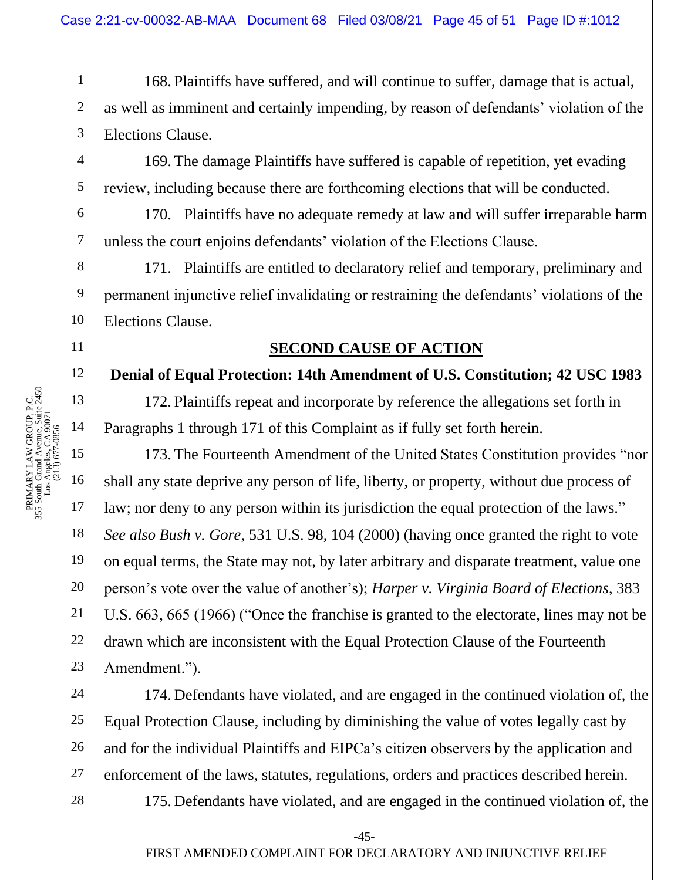168. Plaintiffs have suffered, and will continue to suffer, damage that is actual, as well as imminent and certainly impending, by reason of defendants' violation of the Elections Clause.

169. The damage Plaintiffs have suffered is capable of repetition, yet evading review, including because there are forthcoming elections that will be conducted.

170. Plaintiffs have no adequate remedy at law and will suffer irreparable harm unless the court enjoins defendants' violation of the Elections Clause.

171. Plaintiffs are entitled to declaratory relief and temporary, preliminary and permanent injunctive relief invalidating or restraining the defendants' violations of the Elections Clause.

### **SECOND CAUSE OF ACTION**

#### **Denial of Equal Protection: 14th Amendment of U.S. Constitution; 42 USC 1983**

172. Plaintiffs repeat and incorporate by reference the allegations set forth in Paragraphs 1 through 171 of this Complaint as if fully set forth herein.

173. The Fourteenth Amendment of the United States Constitution provides "nor shall any state deprive any person of life, liberty, or property, without due process of law; nor deny to any person within its jurisdiction the equal protection of the laws." *See also Bush v. Gore*, 531 U.S. 98, 104 (2000) (having once granted the right to vote on equal terms, the State may not, by later arbitrary and disparate treatment, value one person's vote over the value of another's); *Harper v. Virginia Board of Elections*, 383 U.S. 663, 665 (1966) ("Once the franchise is granted to the electorate, lines may not be drawn which are inconsistent with the Equal Protection Clause of the Fourteenth Amendment.").

174. Defendants have violated, and are engaged in the continued violation of, the Equal Protection Clause, including by diminishing the value of votes legally cast by and for the individual Plaintiffs and EIPCa's citizen observers by the application and enforcement of the laws, statutes, regulations, orders and practices described herein.

175. Defendants have violated, and are engaged in the continued violation of, the

1

2

3

4

5

6

7

8

9

10

11

12

13

14

15

16

17

18

19

20

21

22

23

24

25

26

-45-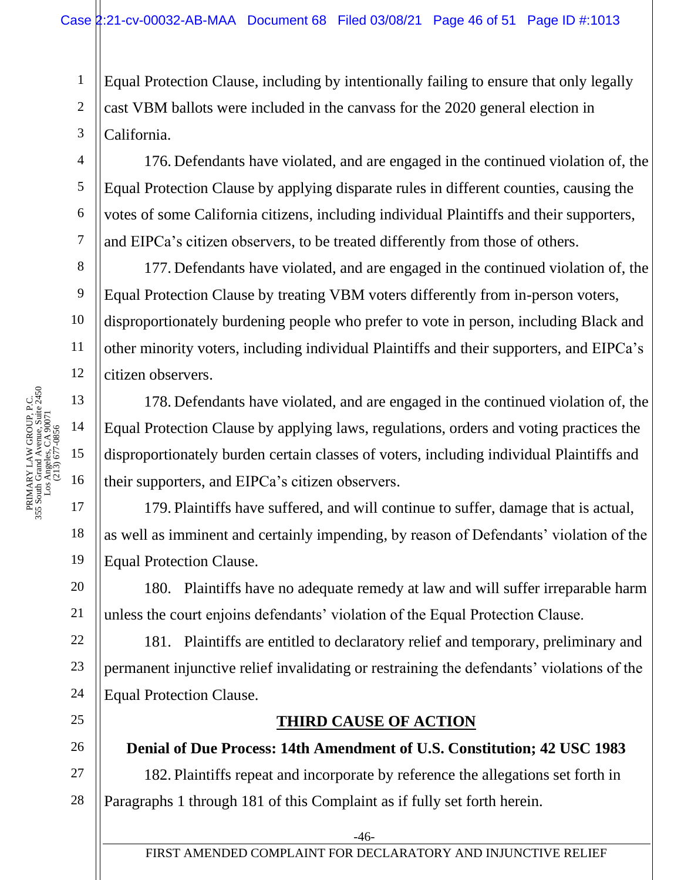Equal Protection Clause, including by intentionally failing to ensure that only legally cast VBM ballots were included in the canvass for the 2020 general election in California.

176. Defendants have violated, and are engaged in the continued violation of, the Equal Protection Clause by applying disparate rules in different counties, causing the votes of some California citizens, including individual Plaintiffs and their supporters, and EIPCa's citizen observers, to be treated differently from those of others.

177. Defendants have violated, and are engaged in the continued violation of, the Equal Protection Clause by treating VBM voters differently from in-person voters, disproportionately burdening people who prefer to vote in person, including Black and other minority voters, including individual Plaintiffs and their supporters, and EIPCa's citizen observers.

178. Defendants have violated, and are engaged in the continued violation of, the Equal Protection Clause by applying laws, regulations, orders and voting practices the disproportionately burden certain classes of voters, including individual Plaintiffs and their supporters, and EIPCa's citizen observers.

179. Plaintiffs have suffered, and will continue to suffer, damage that is actual, as well as imminent and certainly impending, by reason of Defendants' violation of the Equal Protection Clause.

180. Plaintiffs have no adequate remedy at law and will suffer irreparable harm unless the court enjoins defendants' violation of the Equal Protection Clause.

181. Plaintiffs are entitled to declaratory relief and temporary, preliminary and permanent injunctive relief invalidating or restraining the defendants' violations of the Equal Protection Clause.

## **THIRD CAUSE OF ACTION**

**Denial of Due Process: 14th Amendment of U.S. Constitution; 42 USC 1983** 182. Plaintiffs repeat and incorporate by reference the allegations set forth in Paragraphs 1 through 181 of this Complaint as if fully set forth herein.

1

2

3

4

5

6

7

8

9

10

11

12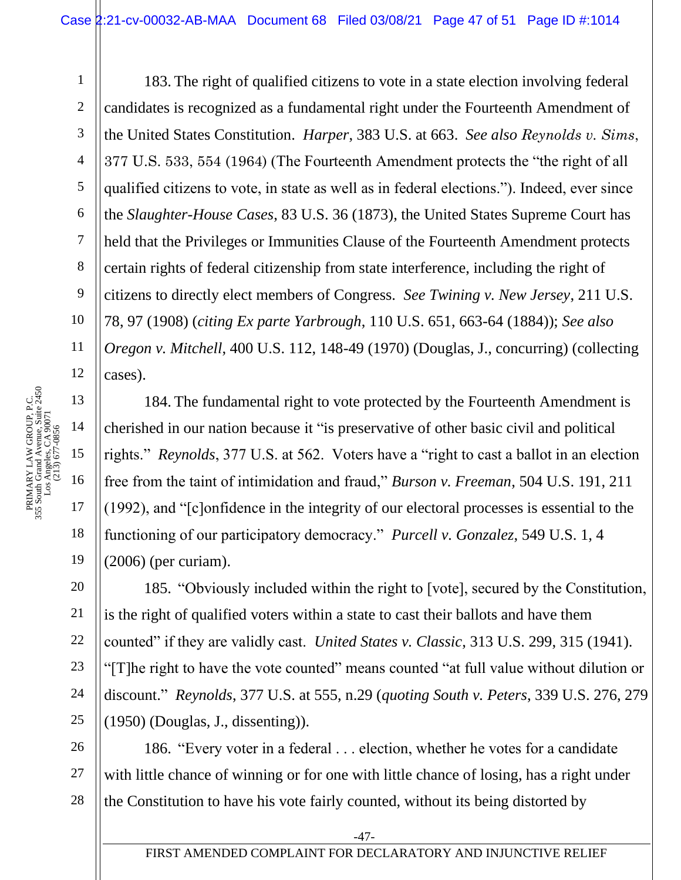183. The right of qualified citizens to vote in a state election involving federal candidates is recognized as a fundamental right under the Fourteenth Amendment of the United States Constitution. *Harper*, 383 U.S. at 663. *See also Reynolds v. Sims*, 377 U.S. 533, 554 (1964) (The Fourteenth Amendment protects the "the right of all qualified citizens to vote, in state as well as in federal elections."). Indeed, ever since the *Slaughter-House Cases*, 83 U.S. 36 (1873), the United States Supreme Court has held that the Privileges or Immunities Clause of the Fourteenth Amendment protects certain rights of federal citizenship from state interference, including the right of citizens to directly elect members of Congress. *See Twining v. New Jersey*, 211 U.S. 78, 97 (1908) (*citing Ex parte Yarbrough*, 110 U.S. 651, 663-64 (1884)); *See also Oregon v. Mitchell*, 400 U.S. 112, 148-49 (1970) (Douglas, J., concurring) (collecting cases).

184. The fundamental right to vote protected by the Fourteenth Amendment is cherished in our nation because it "is preservative of other basic civil and political rights." *Reynolds*, 377 U.S. at 562. Voters have a "right to cast a ballot in an election free from the taint of intimidation and fraud," *Burson v. Freeman*, 504 U.S. 191, 211 (1992), and "[c]onfidence in the integrity of our electoral processes is essential to the functioning of our participatory democracy." *Purcell v. Gonzalez*, 549 U.S. 1, 4 (2006) (per curiam).

25 185. "Obviously included within the right to [vote], secured by the Constitution, is the right of qualified voters within a state to cast their ballots and have them counted" if they are validly cast. *United States v. Classic*, 313 U.S. 299, 315 (1941). "[T]he right to have the vote counted" means counted "at full value without dilution or discount." *Reynolds*, 377 U.S. at 555, n.29 (*quoting South v. Peters*, 339 U.S. 276, 279 (1950) (Douglas, J., dissenting)).

26 27 28 186. "Every voter in a federal . . . election, whether he votes for a candidate with little chance of winning or for one with little chance of losing, has a right under the Constitution to have his vote fairly counted, without its being distorted by

1

2

3

4

5

6

7

8

9

10

11

12

13

14

15

16

17

18

19

20

21

22

23

24

-47-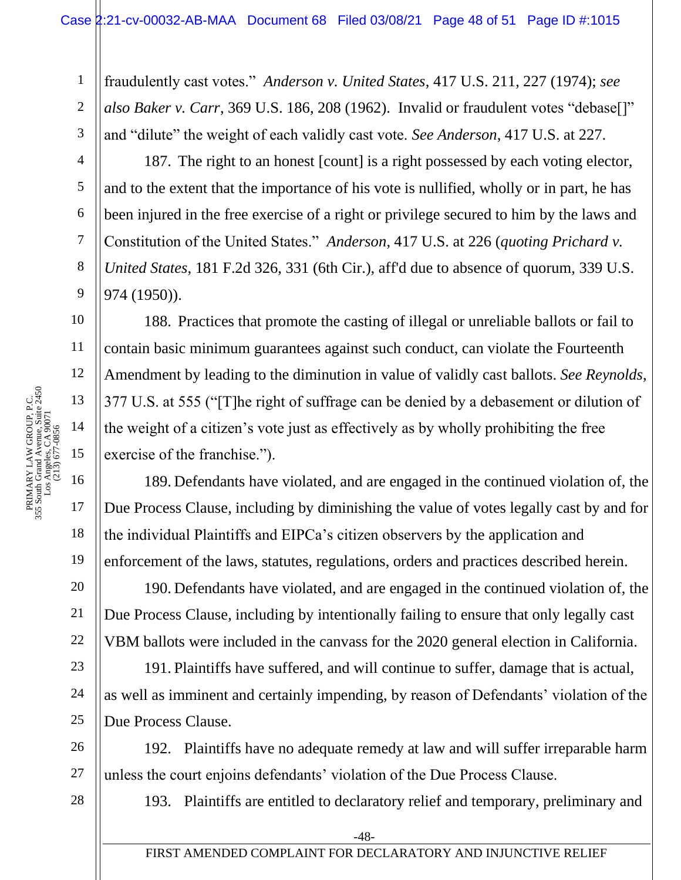fraudulently cast votes." *Anderson v. United States*, 417 U.S. 211, 227 (1974); *see also Baker v. Carr*, 369 U.S. 186, 208 (1962). Invalid or fraudulent votes "debase[]" and "dilute" the weight of each validly cast vote. *See Anderson*, 417 U.S. at 227.

187. The right to an honest [count] is a right possessed by each voting elector, and to the extent that the importance of his vote is nullified, wholly or in part, he has been injured in the free exercise of a right or privilege secured to him by the laws and Constitution of the United States." *Anderson*, 417 U.S. at 226 (*quoting Prichard v. United States*, 181 F.2d 326, 331 (6th Cir.), aff'd due to absence of quorum, 339 U.S. 974 (1950)).

188. Practices that promote the casting of illegal or unreliable ballots or fail to contain basic minimum guarantees against such conduct, can violate the Fourteenth Amendment by leading to the diminution in value of validly cast ballots. *See Reynolds*, 377 U.S. at 555 ("[T]he right of suffrage can be denied by a debasement or dilution of the weight of a citizen's vote just as effectively as by wholly prohibiting the free exercise of the franchise.").

189. Defendants have violated, and are engaged in the continued violation of, the Due Process Clause, including by diminishing the value of votes legally cast by and for the individual Plaintiffs and EIPCa's citizen observers by the application and enforcement of the laws, statutes, regulations, orders and practices described herein.

190. Defendants have violated, and are engaged in the continued violation of, the Due Process Clause, including by intentionally failing to ensure that only legally cast VBM ballots were included in the canvass for the 2020 general election in California.

191. Plaintiffs have suffered, and will continue to suffer, damage that is actual, as well as imminent and certainly impending, by reason of Defendants' violation of the Due Process Clause.

26 192. Plaintiffs have no adequate remedy at law and will suffer irreparable harm unless the court enjoins defendants' violation of the Due Process Clause.

193. Plaintiffs are entitled to declaratory relief and temporary, preliminary and

1

2

3

4

5

6

7

8

9

10

11

12

18

19

20

21

22

23

24

25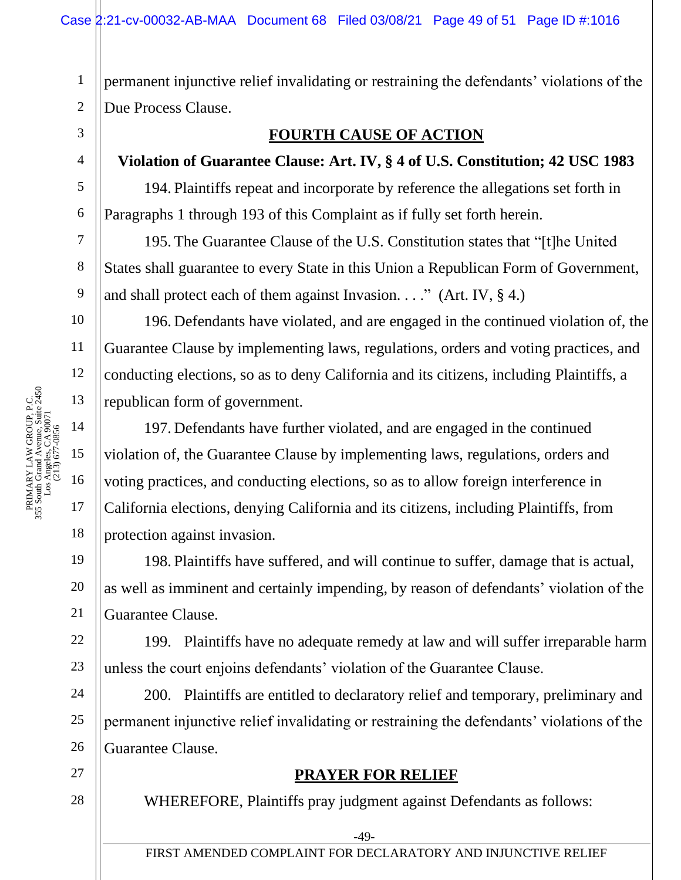1 2 permanent injunctive relief invalidating or restraining the defendants' violations of the Due Process Clause.

### **FOURTH CAUSE OF ACTION**

## **Violation of Guarantee Clause: Art. IV, § 4 of U.S. Constitution; 42 USC 1983**

194. Plaintiffs repeat and incorporate by reference the allegations set forth in Paragraphs 1 through 193 of this Complaint as if fully set forth herein.

195. The Guarantee Clause of the U.S. Constitution states that "[t]he United States shall guarantee to every State in this Union a Republican Form of Government, and shall protect each of them against Invasion. . . ." (Art. IV,  $\S$  4.)

196. Defendants have violated, and are engaged in the continued violation of, the Guarantee Clause by implementing laws, regulations, orders and voting practices, and conducting elections, so as to deny California and its citizens, including Plaintiffs, a republican form of government.

197. Defendants have further violated, and are engaged in the continued violation of, the Guarantee Clause by implementing laws, regulations, orders and voting practices, and conducting elections, so as to allow foreign interference in California elections, denying California and its citizens, including Plaintiffs, from protection against invasion.

198. Plaintiffs have suffered, and will continue to suffer, damage that is actual, as well as imminent and certainly impending, by reason of defendants' violation of the Guarantee Clause.

199. Plaintiffs have no adequate remedy at law and will suffer irreparable harm unless the court enjoins defendants' violation of the Guarantee Clause.

200. Plaintiffs are entitled to declaratory relief and temporary, preliminary and permanent injunctive relief invalidating or restraining the defendants' violations of the Guarantee Clause.

## **PRAYER FOR RELIEF**

WHEREFORE, Plaintiffs pray judgment against Defendants as follows:

3

4

5

6

7

8

9

10

11

18

19

20

21

22

23

24

25

26

27 28

-49-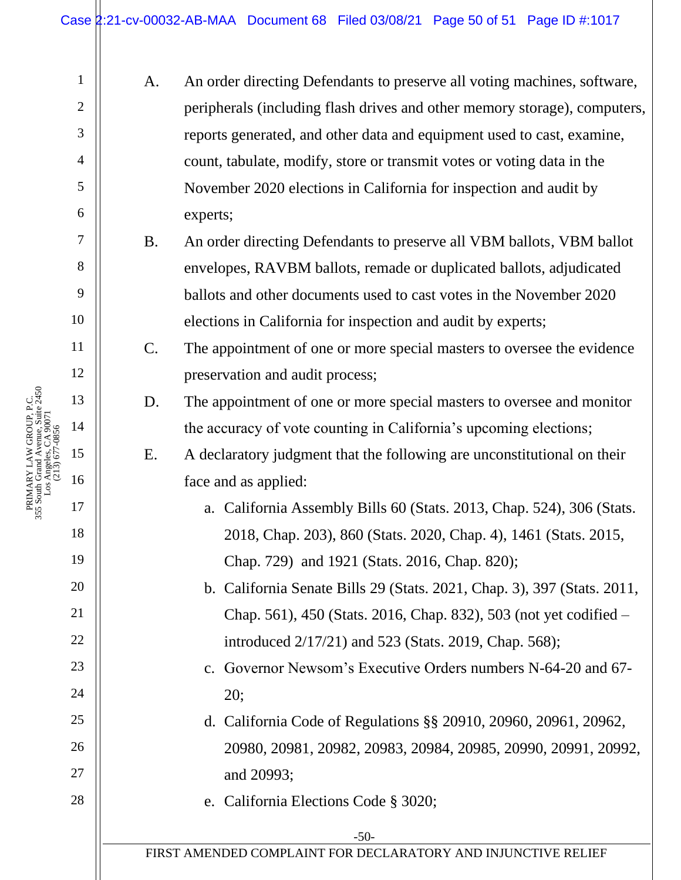A. An order directing Defendants to preserve all voting machines, software, peripherals (including flash drives and other memory storage), computers, reports generated, and other data and equipment used to cast, examine, count, tabulate, modify, store or transmit votes or voting data in the November 2020 elections in California for inspection and audit by experts;

B. An order directing Defendants to preserve all VBM ballots, VBM ballot envelopes, RAVBM ballots, remade or duplicated ballots, adjudicated ballots and other documents used to cast votes in the November 2020 elections in California for inspection and audit by experts;

- C. The appointment of one or more special masters to oversee the evidence preservation and audit process;
	- D. The appointment of one or more special masters to oversee and monitor the accuracy of vote counting in California's upcoming elections;

E. A declaratory judgment that the following are unconstitutional on their face and as applied:

> a. California Assembly Bills 60 (Stats. 2013, Chap. 524), 306 (Stats. 2018, Chap. 203), 860 (Stats. 2020, Chap. 4), 1461 (Stats. 2015, Chap. 729) and 1921 (Stats. 2016, Chap. 820);

# b. California Senate Bills 29 (Stats. 2021, Chap. 3), 397 (Stats. 2011, Chap. 561), 450 (Stats. 2016, Chap. 832), 503 (not yet codified – introduced 2/17/21) and 523 (Stats. 2019, Chap. 568);

c. Governor Newsom's Executive Orders numbers N-64-20 and 67- 20;

# d. California Code of Regulations §§ 20910, 20960, 20961, 20962, 20980, 20981, 20982, 20983, 20984, 20985, 20990, 20991, 20992, and 20993;

e. California Elections Code § 3020;

FIRST AMENDED COMPLAINT FOR DECLARATORY AND INJUNCTIVE RELIEF

PRIMARY LAW GROUP, P.C.<br>355 South Grand Avenue, Suite 2450<br>Los Angeles, CA 90071<br>(213) 677-0856 355 South Grand Avenue, Suite 2450 PRIMARY LAW GROUP, P.C. Los Angeles, CA 90071 (213) 677-0856 1

2

3

4

5

6

7

8

9

10

11

12

13

14

15

16

17

18

19

20

21

22

23

24

25

26

27